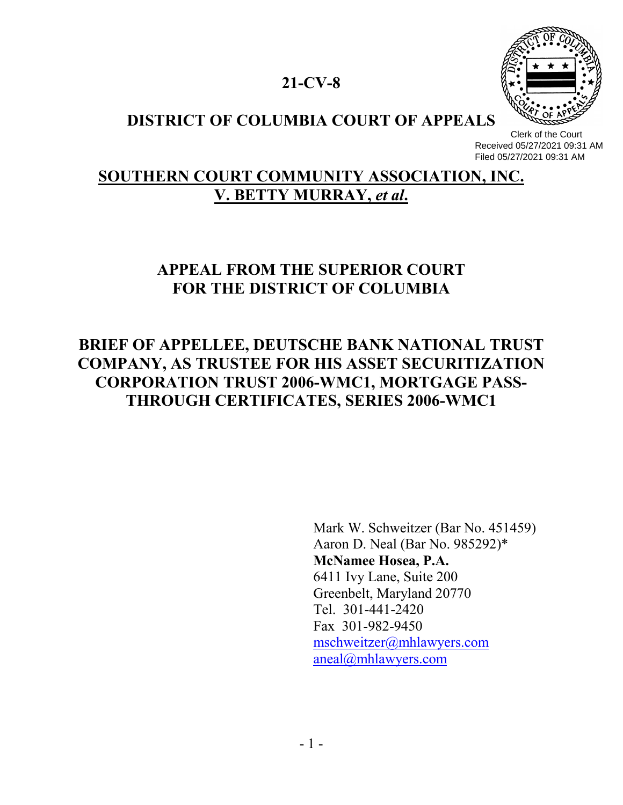### **21-CV-8**



### **DISTRICT OF COLUMBIA COURT OF APPEALS**

 Clerk of the Court Received 05/27/2021 09:31 AM Filed 05/27/2021 09:31 AM

### **SOUTHERN COURT COMMUNITY ASSOCIATION, INC. V. BETTY MURRAY,** *et al***.**

# **APPEAL FROM THE SUPERIOR COURT FOR THE DISTRICT OF COLUMBIA**

# **BRIEF OF APPELLEE, DEUTSCHE BANK NATIONAL TRUST COMPANY, AS TRUSTEE FOR HIS ASSET SECURITIZATION CORPORATION TRUST 2006-WMC1, MORTGAGE PASS-THROUGH CERTIFICATES, SERIES 2006-WMC1**

Mark W. Schweitzer (Bar No. 451459) Aaron D. Neal (Bar No. 985292)\* **McNamee Hosea, P.A.** 6411 Ivy Lane, Suite 200 Greenbelt, Maryland 20770 Tel. 301-441-2420 Fax 301-982-9450 mschweitzer@mhlawyers.com aneal@mhlawyers.com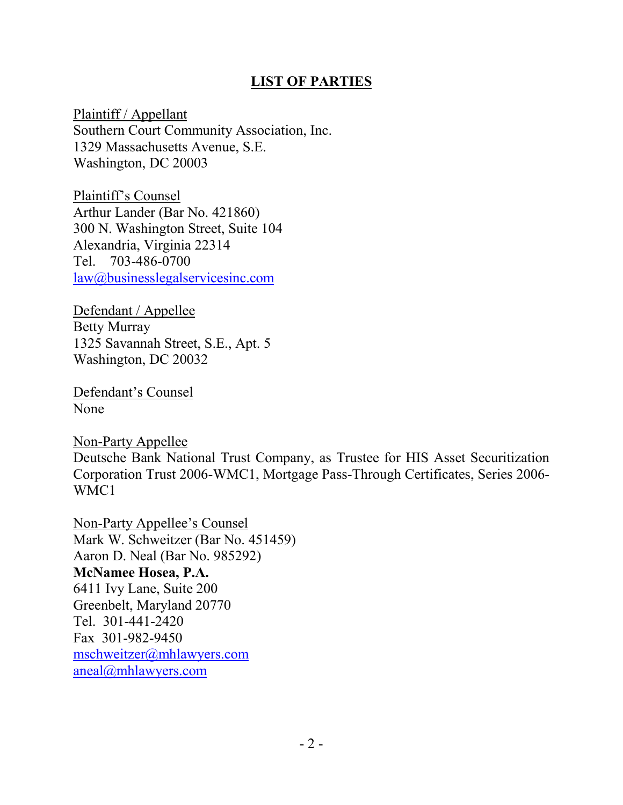### **LIST OF PARTIES**

Plaintiff / Appellant Southern Court Community Association, Inc. 1329 Massachusetts Avenue, S.E. Washington, DC 20003

Plaintiff's Counsel Arthur Lander (Bar No. 421860) 300 N. Washington Street, Suite 104 Alexandria, Virginia 22314 Tel. 703-486-0700 law@businesslegalservicesinc.com

Defendant / Appellee Betty Murray 1325 Savannah Street, S.E., Apt. 5 Washington, DC 20032

Defendant's Counsel None

Non-Party Appellee Deutsche Bank National Trust Company, as Trustee for HIS Asset Securitization Corporation Trust 2006-WMC1, Mortgage Pass-Through Certificates, Series 2006- WMC1

Non-Party Appellee's Counsel Mark W. Schweitzer (Bar No. 451459) Aaron D. Neal (Bar No. 985292) **McNamee Hosea, P.A.** 6411 Ivy Lane, Suite 200 Greenbelt, Maryland 20770 Tel. 301-441-2420 Fax 301-982-9450 mschweitzer@mhlawyers.com aneal@mhlawyers.com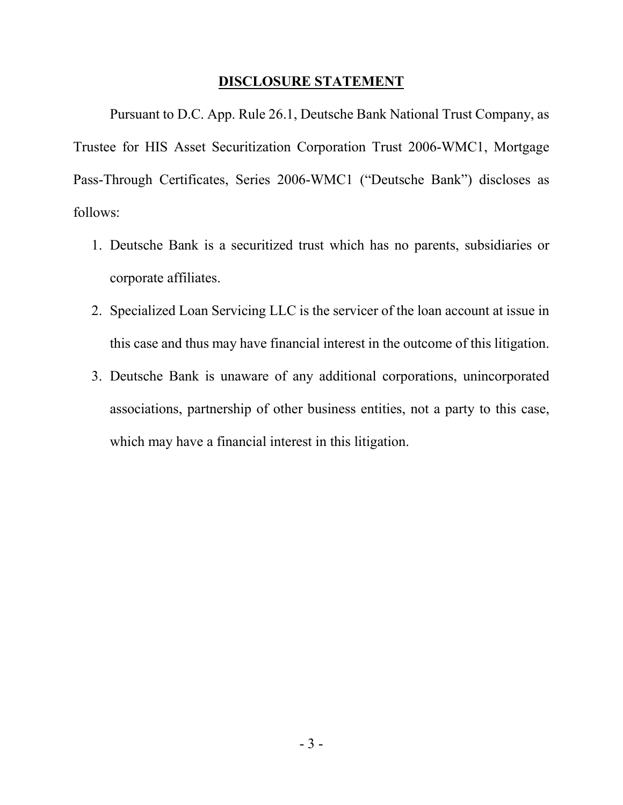#### **DISCLOSURE STATEMENT**

Pursuant to D.C. App. Rule 26.1, Deutsche Bank National Trust Company, as Trustee for HIS Asset Securitization Corporation Trust 2006-WMC1, Mortgage Pass-Through Certificates, Series 2006-WMC1 ("Deutsche Bank") discloses as follows:

- 1. Deutsche Bank is a securitized trust which has no parents, subsidiaries or corporate affiliates.
- 2. Specialized Loan Servicing LLC is the servicer of the loan account at issue in this case and thus may have financial interest in the outcome of this litigation.
- 3. Deutsche Bank is unaware of any additional corporations, unincorporated associations, partnership of other business entities, not a party to this case, which may have a financial interest in this litigation.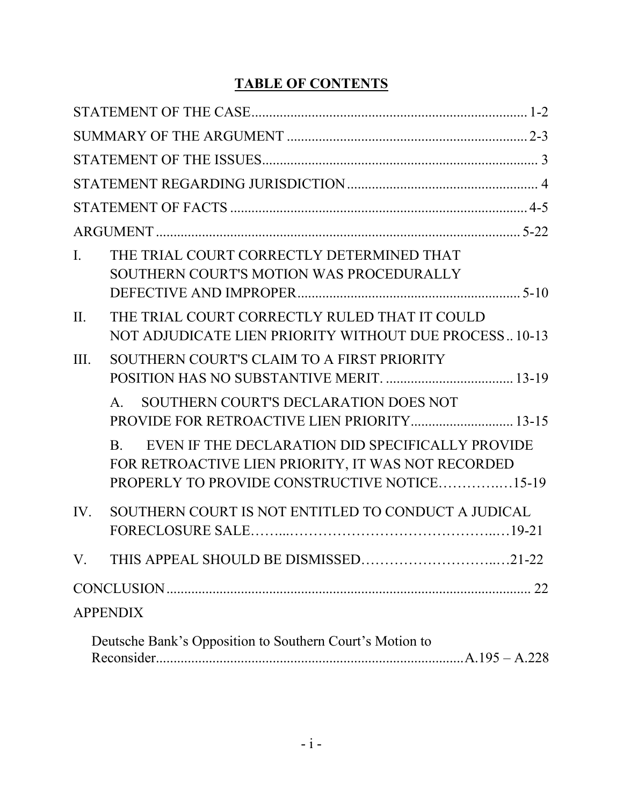### **TABLE OF CONTENTS**

| $\mathbf{I}$ . | THE TRIAL COURT CORRECTLY DETERMINED THAT<br>SOUTHERN COURT'S MOTION WAS PROCEDURALLY                                                                                    |
|----------------|--------------------------------------------------------------------------------------------------------------------------------------------------------------------------|
| II.            | THE TRIAL COURT CORRECTLY RULED THAT IT COULD<br>NOT ADJUDICATE LIEN PRIORITY WITHOUT DUE PROCESS10-13                                                                   |
| III.           | SOUTHERN COURT'S CLAIM TO A FIRST PRIORITY                                                                                                                               |
|                | SOUTHERN COURT'S DECLARATION DOES NOT<br>$A_{\cdot}$<br>PROVIDE FOR RETROACTIVE LIEN PRIORITY 13-15                                                                      |
|                | EVEN IF THE DECLARATION DID SPECIFICALLY PROVIDE<br>$\mathbf{B}$ .<br>FOR RETROACTIVE LIEN PRIORITY, IT WAS NOT RECORDED<br>PROPERLY TO PROVIDE CONSTRUCTIVE NOTICE15-19 |
| IV.            | SOUTHERN COURT IS NOT ENTITLED TO CONDUCT A JUDICAL                                                                                                                      |
| V.             | THIS APPEAL SHOULD BE DISMISSED21-22                                                                                                                                     |
|                |                                                                                                                                                                          |
|                | <b>APPENDIX</b>                                                                                                                                                          |
|                | Deutsche Bank's Opposition to Southern Court's Motion to                                                                                                                 |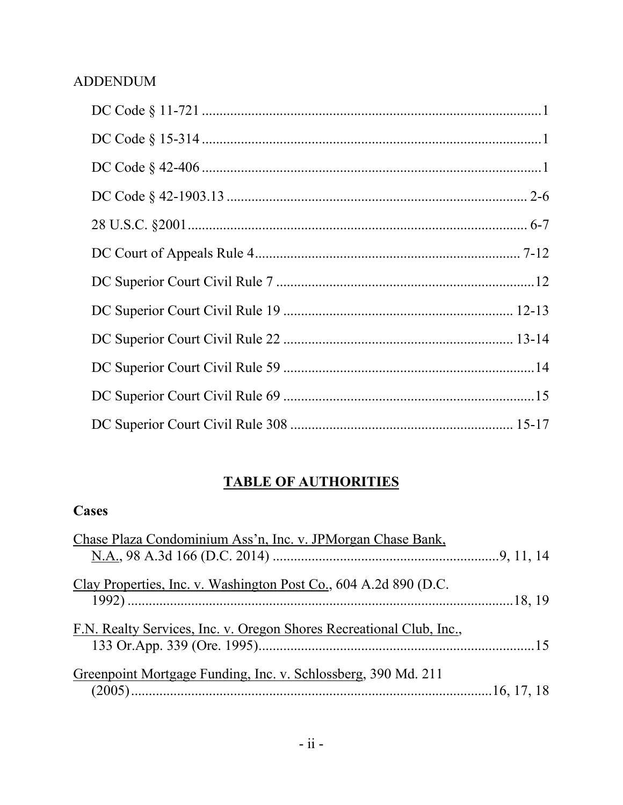### **ADDENDUM**

## **TABLE OF AUTHORITIES**

### **Cases**

| Chase Plaza Condominium Ass'n, Inc. v. JPMorgan Chase Bank,          |  |
|----------------------------------------------------------------------|--|
|                                                                      |  |
|                                                                      |  |
| Clay Properties, Inc. v. Washington Post Co., 604 A.2d 890 (D.C.     |  |
|                                                                      |  |
| F.N. Realty Services, Inc. v. Oregon Shores Recreational Club, Inc., |  |
|                                                                      |  |
|                                                                      |  |
| Greenpoint Mortgage Funding, Inc. v. Schlossberg, 390 Md. 211        |  |
|                                                                      |  |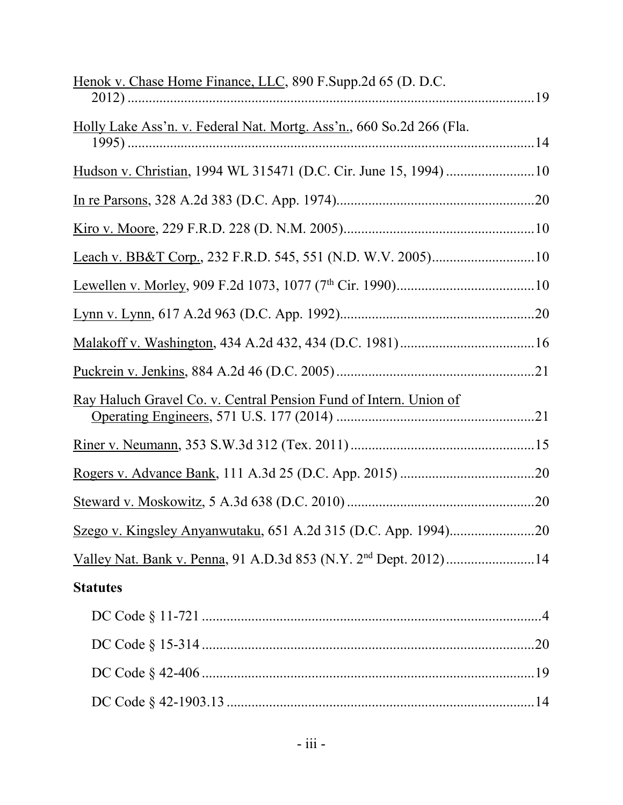| Henok v. Chase Home Finance, LLC, 890 F.Supp.2d 65 (D. D.C.                  |
|------------------------------------------------------------------------------|
|                                                                              |
| Holly Lake Ass'n. v. Federal Nat. Mortg. Ass'n., 660 So.2d 266 (Fla.         |
|                                                                              |
|                                                                              |
|                                                                              |
|                                                                              |
|                                                                              |
|                                                                              |
|                                                                              |
|                                                                              |
|                                                                              |
| Ray Haluch Gravel Co. v. Central Pension Fund of Intern. Union of            |
|                                                                              |
|                                                                              |
|                                                                              |
|                                                                              |
| Valley Nat. Bank v. Penna, 91 A.D.3d 853 (N.Y. 2 <sup>nd</sup> Dept. 2012)14 |
| <b>Statutes</b>                                                              |
|                                                                              |
|                                                                              |
|                                                                              |
|                                                                              |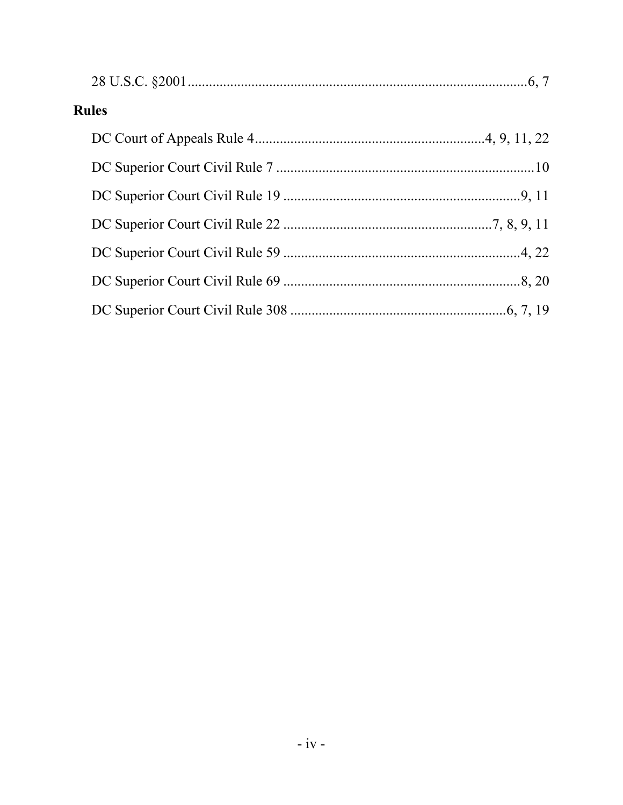| <b>Rules</b> |  |  |  |  |
|--------------|--|--|--|--|
|              |  |  |  |  |
|              |  |  |  |  |
|              |  |  |  |  |
|              |  |  |  |  |
|              |  |  |  |  |
|              |  |  |  |  |
|              |  |  |  |  |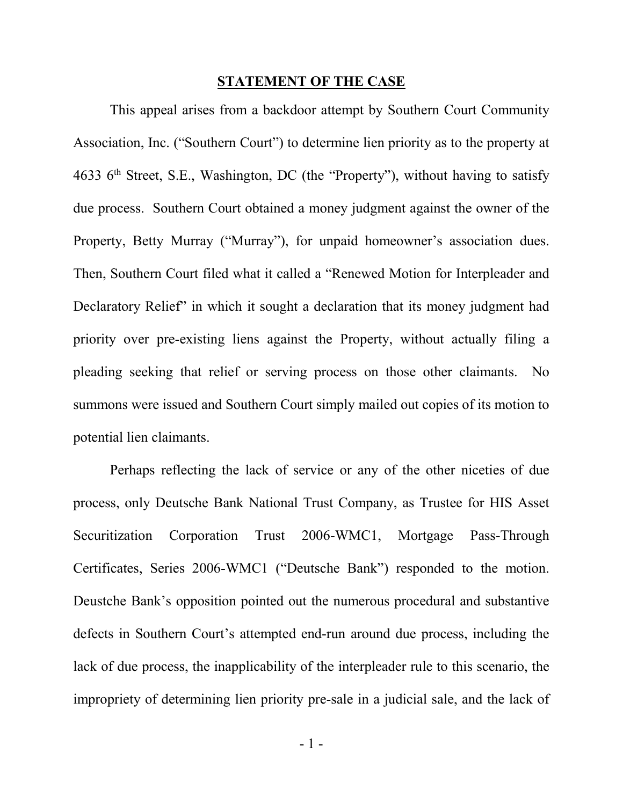#### **STATEMENT OF THE CASE**

This appeal arises from a backdoor attempt by Southern Court Community Association, Inc. ("Southern Court") to determine lien priority as to the property at 4633  $6<sup>th</sup>$  Street, S.E., Washington, DC (the "Property"), without having to satisfy due process. Southern Court obtained a money judgment against the owner of the Property, Betty Murray ("Murray"), for unpaid homeowner's association dues. Then, Southern Court filed what it called a "Renewed Motion for Interpleader and Declaratory Relief" in which it sought a declaration that its money judgment had priority over pre-existing liens against the Property, without actually filing a pleading seeking that relief or serving process on those other claimants. No summons were issued and Southern Court simply mailed out copies of its motion to potential lien claimants.

Perhaps reflecting the lack of service or any of the other niceties of due process, only Deutsche Bank National Trust Company, as Trustee for HIS Asset Securitization Corporation Trust 2006-WMC1, Mortgage Pass-Through Certificates, Series 2006-WMC1 ("Deutsche Bank") responded to the motion. Deustche Bank's opposition pointed out the numerous procedural and substantive defects in Southern Court's attempted end-run around due process, including the lack of due process, the inapplicability of the interpleader rule to this scenario, the impropriety of determining lien priority pre-sale in a judicial sale, and the lack of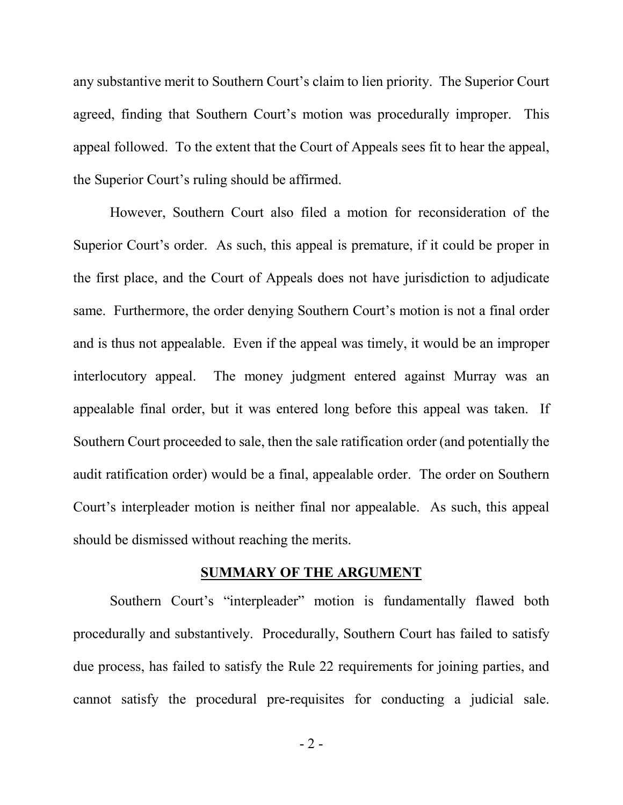any substantive merit to Southern Court's claim to lien priority. The Superior Court agreed, finding that Southern Court's motion was procedurally improper. This appeal followed. To the extent that the Court of Appeals sees fit to hear the appeal, the Superior Court's ruling should be affirmed.

However, Southern Court also filed a motion for reconsideration of the Superior Court's order. As such, this appeal is premature, if it could be proper in the first place, and the Court of Appeals does not have jurisdiction to adjudicate same. Furthermore, the order denying Southern Court's motion is not a final order and is thus not appealable. Even if the appeal was timely, it would be an improper interlocutory appeal. The money judgment entered against Murray was an appealable final order, but it was entered long before this appeal was taken. If Southern Court proceeded to sale, then the sale ratification order (and potentially the audit ratification order) would be a final, appealable order. The order on Southern Court's interpleader motion is neither final nor appealable. As such, this appeal should be dismissed without reaching the merits.

#### **SUMMARY OF THE ARGUMENT**

Southern Court's "interpleader" motion is fundamentally flawed both procedurally and substantively. Procedurally, Southern Court has failed to satisfy due process, has failed to satisfy the Rule 22 requirements for joining parties, and cannot satisfy the procedural pre-requisites for conducting a judicial sale.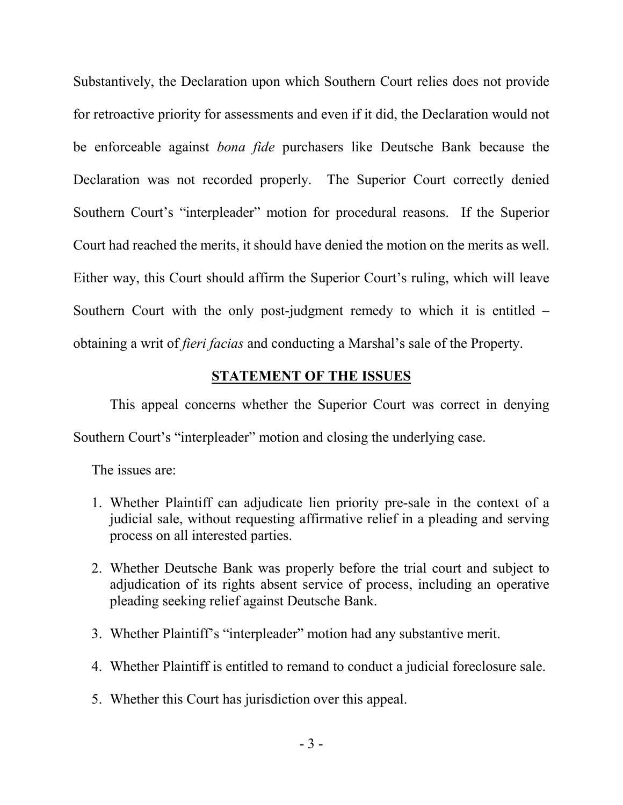Substantively, the Declaration upon which Southern Court relies does not provide for retroactive priority for assessments and even if it did, the Declaration would not be enforceable against *bona fide* purchasers like Deutsche Bank because the Declaration was not recorded properly. The Superior Court correctly denied Southern Court's "interpleader" motion for procedural reasons. If the Superior Court had reached the merits, it should have denied the motion on the merits as well. Either way, this Court should affirm the Superior Court's ruling, which will leave Southern Court with the only post-judgment remedy to which it is entitled – obtaining a writ of *fieri facias* and conducting a Marshal's sale of the Property.

#### **STATEMENT OF THE ISSUES**

This appeal concerns whether the Superior Court was correct in denying Southern Court's "interpleader" motion and closing the underlying case.

The issues are:

- 1. Whether Plaintiff can adjudicate lien priority pre-sale in the context of a judicial sale, without requesting affirmative relief in a pleading and serving process on all interested parties.
- 2. Whether Deutsche Bank was properly before the trial court and subject to adjudication of its rights absent service of process, including an operative pleading seeking relief against Deutsche Bank.
- 3. Whether Plaintiff's "interpleader" motion had any substantive merit.
- 4. Whether Plaintiff is entitled to remand to conduct a judicial foreclosure sale.
- 5. Whether this Court has jurisdiction over this appeal.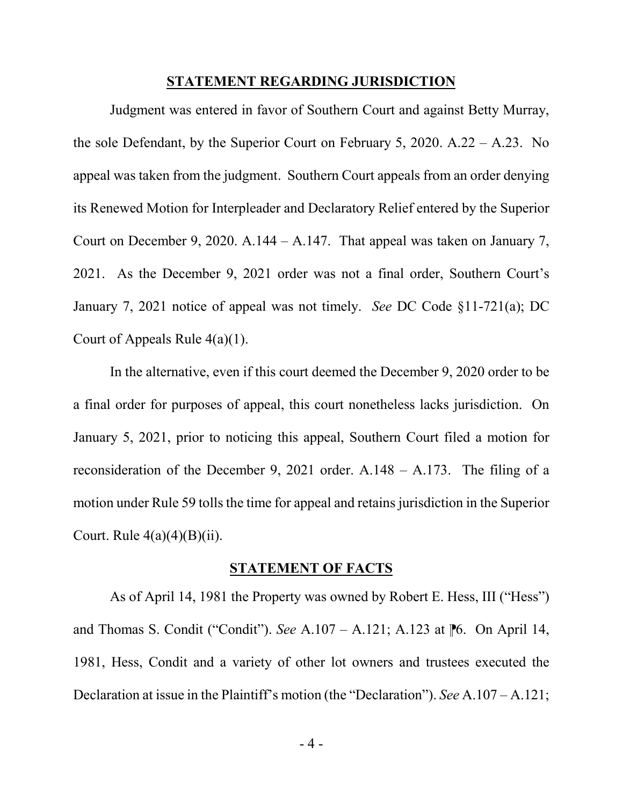#### **STATEMENT REGARDING JURISDICTION**

Judgment was entered in favor of Southern Court and against Betty Murray, the sole Defendant, by the Superior Court on February 5, 2020. A.22 – A.23. No appeal was taken from the judgment. Southern Court appeals from an order denying its Renewed Motion for Interpleader and Declaratory Relief entered by the Superior Court on December 9, 2020. A.144 – A.147. That appeal was taken on January 7, 2021. As the December 9, 2021 order was not a final order, Southern Court's January 7, 2021 notice of appeal was not timely. *See* DC Code §11-721(a); DC Court of Appeals Rule  $4(a)(1)$ .

In the alternative, even if this court deemed the December 9, 2020 order to be a final order for purposes of appeal, this court nonetheless lacks jurisdiction. On January 5, 2021, prior to noticing this appeal, Southern Court filed a motion for reconsideration of the December 9, 2021 order. A.148 – A.173. The filing of a motion under Rule 59 tolls the time for appeal and retains jurisdiction in the Superior Court. Rule  $4(a)(4)(B)(ii)$ .

#### **STATEMENT OF FACTS**

As of April 14, 1981 the Property was owned by Robert E. Hess, III ("Hess") and Thomas S. Condit ("Condit"). *See* A.107 – A.121; A.123 at <sup>1</sup> 6. On April 14, 1981, Hess, Condit and a variety of other lot owners and trustees executed the Declaration at issue in the Plaintiff's motion (the "Declaration"). *See* A.107 – A.121;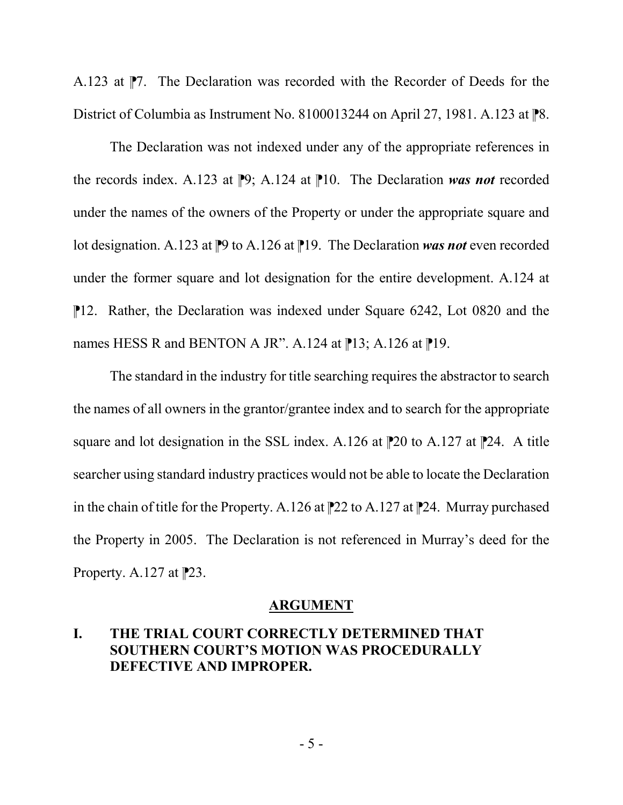A.123 at  $\mathbb{P}7$ . The Declaration was recorded with the Recorder of Deeds for the District of Columbia as Instrument No. 8100013244 on April 27, 1981. A.123 at  $\mathbb{R}8$ .

The Declaration was not indexed under any of the appropriate references in the records index. A.123 at  $\mathbb{P}9$ ; A.124 at  $\mathbb{P}10$ . The Declaration was not recorded under the names of the owners of the Property or under the appropriate square and lot designation. A.123 at  $\mathbb{P}^9$  to A.126 at  $\mathbb{P}^1$ 9. The Declaration *was not* even recorded under the former square and lot designation for the entire development. A.124 at ⁋12. Rather, the Declaration was indexed under Square 6242, Lot 0820 and the names HESS R and BENTON A JR". A.124 at  $\mathbb{P}13$ ; A.126 at  $\mathbb{P}19$ .

The standard in the industry for title searching requires the abstractor to search the names of all owners in the grantor/grantee index and to search for the appropriate square and lot designation in the SSL index. A.126 at  $\mathbb{P}20$  to A.127 at  $\mathbb{P}24$ . A title searcher using standard industry practices would not be able to locate the Declaration in the chain of title for the Property. A.126 at  $\mathbb{P}22$  to A.127 at  $\mathbb{P}24$ . Murray purchased the Property in 2005. The Declaration is not referenced in Murray's deed for the Property. A.127 at  $P$ 23.

#### **ARGUMENT**

### **I. THE TRIAL COURT CORRECTLY DETERMINED THAT SOUTHERN COURT'S MOTION WAS PROCEDURALLY DEFECTIVE AND IMPROPER.**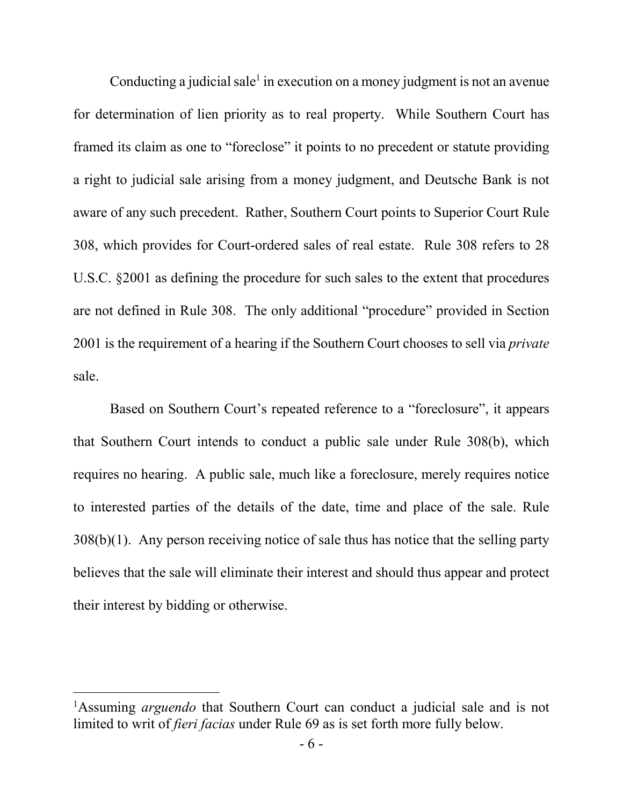Conducting a judicial sale<sup>1</sup> in execution on a money judgment is not an avenue for determination of lien priority as to real property. While Southern Court has framed its claim as one to "foreclose" it points to no precedent or statute providing a right to judicial sale arising from a money judgment, and Deutsche Bank is not aware of any such precedent. Rather, Southern Court points to Superior Court Rule 308, which provides for Court-ordered sales of real estate. Rule 308 refers to 28 U.S.C. §2001 as defining the procedure for such sales to the extent that procedures are not defined in Rule 308. The only additional "procedure" provided in Section 2001 is the requirement of a hearing if the Southern Court chooses to sell via *private* sale.

Based on Southern Court's repeated reference to a "foreclosure", it appears that Southern Court intends to conduct a public sale under Rule 308(b), which requires no hearing. A public sale, much like a foreclosure, merely requires notice to interested parties of the details of the date, time and place of the sale. Rule 308(b)(1). Any person receiving notice of sale thus has notice that the selling party believes that the sale will eliminate their interest and should thus appear and protect their interest by bidding or otherwise.

 $\frac{1}{1}$ Assuming *arguendo* that Southern Court can conduct a judicial sale and is not limited to writ of *fieri facias* under Rule 69 as is set forth more fully below.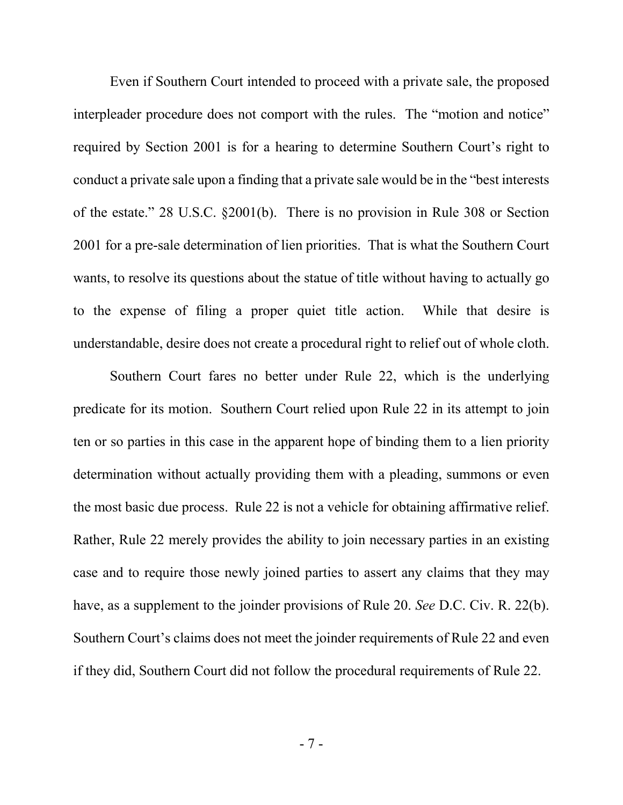Even if Southern Court intended to proceed with a private sale, the proposed interpleader procedure does not comport with the rules. The "motion and notice" required by Section 2001 is for a hearing to determine Southern Court's right to conduct a private sale upon a finding that a private sale would be in the "best interests of the estate." 28 U.S.C. §2001(b). There is no provision in Rule 308 or Section 2001 for a pre-sale determination of lien priorities. That is what the Southern Court wants, to resolve its questions about the statue of title without having to actually go to the expense of filing a proper quiet title action. While that desire is understandable, desire does not create a procedural right to relief out of whole cloth.

Southern Court fares no better under Rule 22, which is the underlying predicate for its motion. Southern Court relied upon Rule 22 in its attempt to join ten or so parties in this case in the apparent hope of binding them to a lien priority determination without actually providing them with a pleading, summons or even the most basic due process. Rule 22 is not a vehicle for obtaining affirmative relief. Rather, Rule 22 merely provides the ability to join necessary parties in an existing case and to require those newly joined parties to assert any claims that they may have, as a supplement to the joinder provisions of Rule 20. *See* D.C. Civ. R. 22(b). Southern Court's claims does not meet the joinder requirements of Rule 22 and even if they did, Southern Court did not follow the procedural requirements of Rule 22.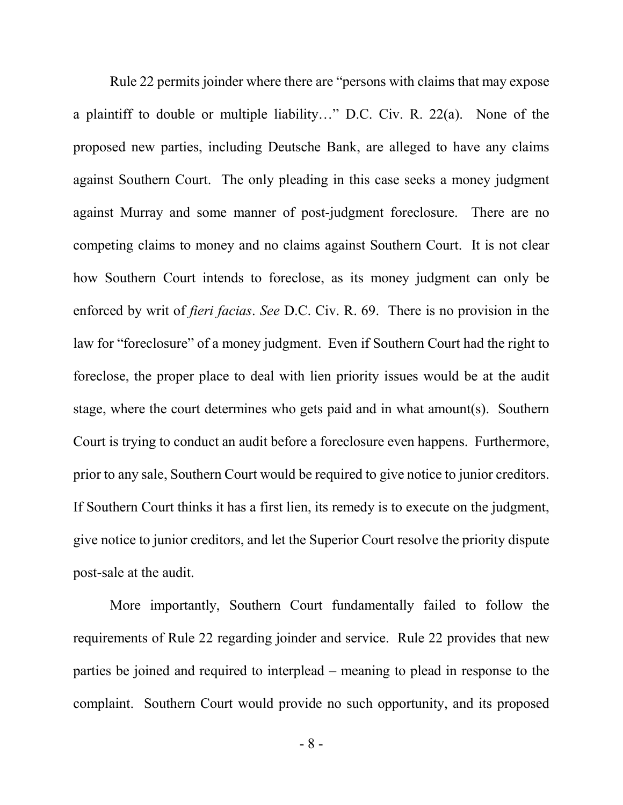Rule 22 permits joinder where there are "persons with claims that may expose a plaintiff to double or multiple liability…" D.C. Civ. R. 22(a). None of the proposed new parties, including Deutsche Bank, are alleged to have any claims against Southern Court. The only pleading in this case seeks a money judgment against Murray and some manner of post-judgment foreclosure. There are no competing claims to money and no claims against Southern Court. It is not clear how Southern Court intends to foreclose, as its money judgment can only be enforced by writ of *fieri facias*. *See* D.C. Civ. R. 69. There is no provision in the law for "foreclosure" of a money judgment. Even if Southern Court had the right to foreclose, the proper place to deal with lien priority issues would be at the audit stage, where the court determines who gets paid and in what amount(s). Southern Court is trying to conduct an audit before a foreclosure even happens. Furthermore, prior to any sale, Southern Court would be required to give notice to junior creditors. If Southern Court thinks it has a first lien, its remedy is to execute on the judgment, give notice to junior creditors, and let the Superior Court resolve the priority dispute post-sale at the audit.

More importantly, Southern Court fundamentally failed to follow the requirements of Rule 22 regarding joinder and service. Rule 22 provides that new parties be joined and required to interplead – meaning to plead in response to the complaint. Southern Court would provide no such opportunity, and its proposed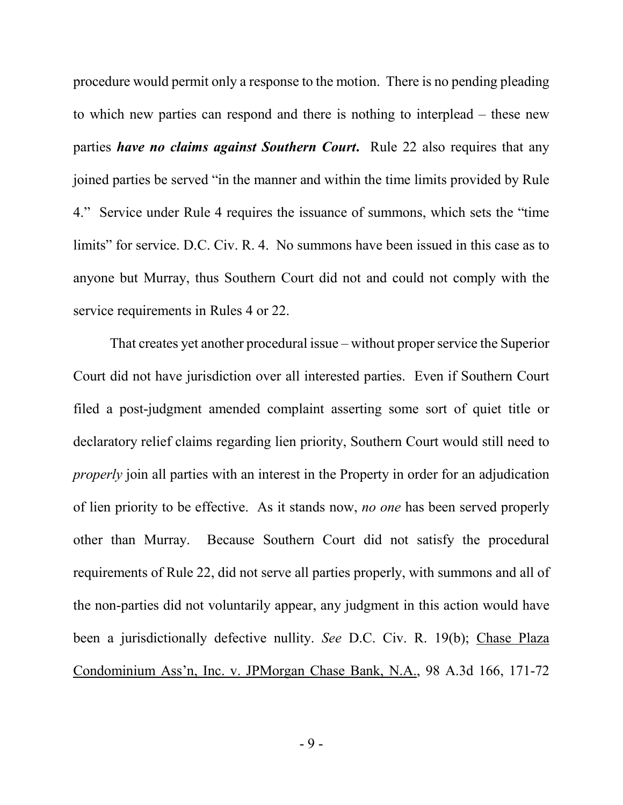procedure would permit only a response to the motion. There is no pending pleading to which new parties can respond and there is nothing to interplead – these new parties *have no claims against Southern Court***.** Rule 22 also requires that any joined parties be served "in the manner and within the time limits provided by Rule 4." Service under Rule 4 requires the issuance of summons, which sets the "time limits" for service. D.C. Civ. R. 4. No summons have been issued in this case as to anyone but Murray, thus Southern Court did not and could not comply with the service requirements in Rules 4 or 22.

That creates yet another procedural issue – without proper service the Superior Court did not have jurisdiction over all interested parties. Even if Southern Court filed a post-judgment amended complaint asserting some sort of quiet title or declaratory relief claims regarding lien priority, Southern Court would still need to *properly* join all parties with an interest in the Property in order for an adjudication of lien priority to be effective. As it stands now, *no one* has been served properly other than Murray. Because Southern Court did not satisfy the procedural requirements of Rule 22, did not serve all parties properly, with summons and all of the non-parties did not voluntarily appear, any judgment in this action would have been a jurisdictionally defective nullity. *See* D.C. Civ. R. 19(b); Chase Plaza Condominium Ass'n, Inc. v. JPMorgan Chase Bank, N.A., 98 A.3d 166, 171-72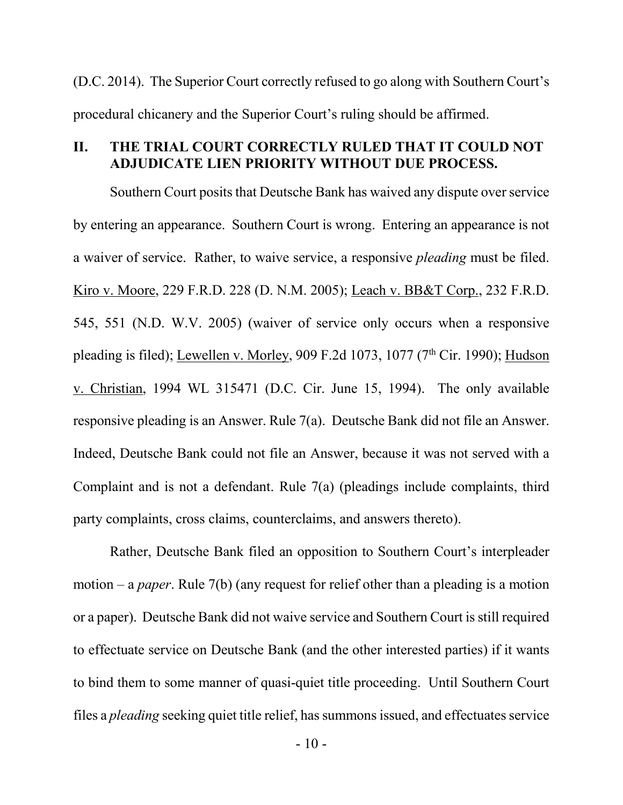(D.C. 2014). The Superior Court correctly refused to go along with Southern Court's procedural chicanery and the Superior Court's ruling should be affirmed.

### **II. THE TRIAL COURT CORRECTLY RULED THAT IT COULD NOT ADJUDICATE LIEN PRIORITY WITHOUT DUE PROCESS.**

Southern Court posits that Deutsche Bank has waived any dispute over service by entering an appearance. Southern Court is wrong. Entering an appearance is not a waiver of service. Rather, to waive service, a responsive *pleading* must be filed. Kiro v. Moore, 229 F.R.D. 228 (D. N.M. 2005); Leach v. BB&T Corp., 232 F.R.D. 545, 551 (N.D. W.V. 2005) (waiver of service only occurs when a responsive pleading is filed); Lewellen v. Morley, 909 F.2d 1073, 1077 ( $7<sup>th</sup>$  Cir. 1990); Hudson v. Christian, 1994 WL 315471 (D.C. Cir. June 15, 1994). The only available responsive pleading is an Answer. Rule 7(a). Deutsche Bank did not file an Answer. Indeed, Deutsche Bank could not file an Answer, because it was not served with a Complaint and is not a defendant. Rule 7(a) (pleadings include complaints, third party complaints, cross claims, counterclaims, and answers thereto).

Rather, Deutsche Bank filed an opposition to Southern Court's interpleader motion – a *paper*. Rule 7(b) (any request for relief other than a pleading is a motion or a paper). Deutsche Bank did not waive service and Southern Court is still required to effectuate service on Deutsche Bank (and the other interested parties) if it wants to bind them to some manner of quasi-quiet title proceeding. Until Southern Court files a *pleading* seeking quiet title relief, has summons issued, and effectuates service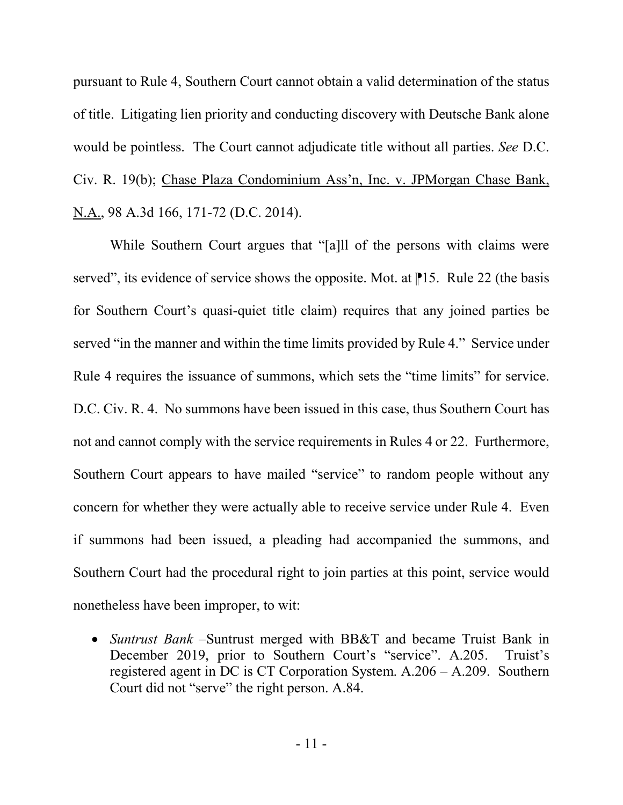pursuant to Rule 4, Southern Court cannot obtain a valid determination of the status of title. Litigating lien priority and conducting discovery with Deutsche Bank alone would be pointless. The Court cannot adjudicate title without all parties. *See* D.C. Civ. R. 19(b); Chase Plaza Condominium Ass'n, Inc. v. JPMorgan Chase Bank, N.A., 98 A.3d 166, 171-72 (D.C. 2014).

While Southern Court argues that "[a]ll of the persons with claims were served", its evidence of service shows the opposite. Mot. at  $\mathbb{P}15$ . Rule 22 (the basis for Southern Court's quasi-quiet title claim) requires that any joined parties be served "in the manner and within the time limits provided by Rule 4." Service under Rule 4 requires the issuance of summons, which sets the "time limits" for service. D.C. Civ. R. 4. No summons have been issued in this case, thus Southern Court has not and cannot comply with the service requirements in Rules 4 or 22. Furthermore, Southern Court appears to have mailed "service" to random people without any concern for whether they were actually able to receive service under Rule 4. Even if summons had been issued, a pleading had accompanied the summons, and Southern Court had the procedural right to join parties at this point, service would nonetheless have been improper, to wit:

 *Suntrust Bank* –Suntrust merged with BB&T and became Truist Bank in December 2019, prior to Southern Court's "service". A.205. Truist's registered agent in DC is CT Corporation System. A.206 – A.209. Southern Court did not "serve" the right person. A.84.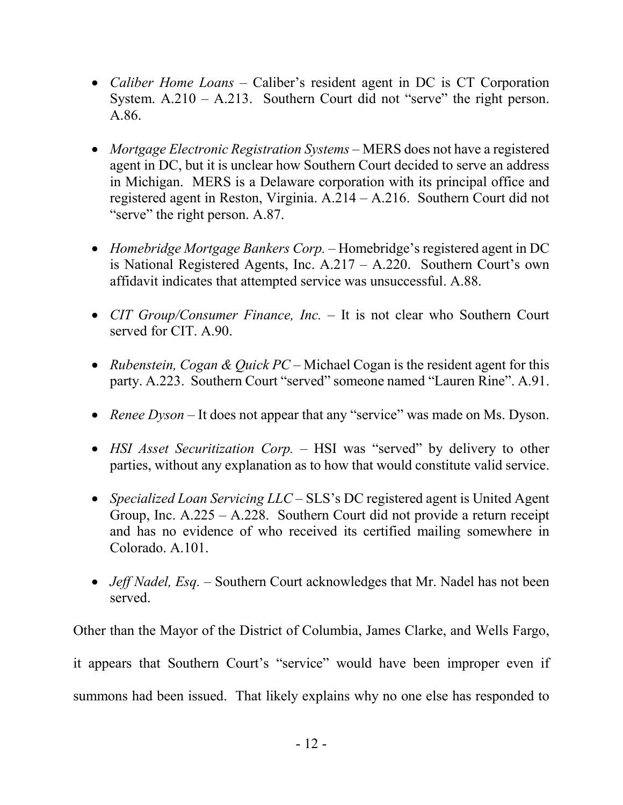- *Caliber Home Loans* Caliber's resident agent in DC is CT Corporation System.  $A.210 - A.213$ . Southern Court did not "serve" the right person. A.86.
- *Mortgage Electronic Registration Systems* MERS does not have a registered agent in DC, but it is unclear how Southern Court decided to serve an address in Michigan. MERS is a Delaware corporation with its principal office and registered agent in Reston, Virginia. A.214 – A.216. Southern Court did not "serve" the right person. A.87.
- *Homebridge Mortgage Bankers Corp.* Homebridge's registered agent in DC is National Registered Agents, Inc. A.217 – A.220. Southern Court's own affidavit indicates that attempted service was unsuccessful. A.88.
- *CIT Group/Consumer Finance, Inc.* It is not clear who Southern Court served for CIT. A.90.
- *Rubenstein, Cogan & Quick PC* Michael Cogan is the resident agent for this party. A.223. Southern Court "served" someone named "Lauren Rine". A.91.
- *Renee Dyson –* It does not appear that any "service" was made on Ms. Dyson.
- *HSI Asset Securitization Corp.* HSI was "served" by delivery to other parties, without any explanation as to how that would constitute valid service.
- *Specialized Loan Servicing LLC* SLS's DC registered agent is United Agent Group, Inc. A.225 – A.228. Southern Court did not provide a return receipt and has no evidence of who received its certified mailing somewhere in Colorado. A.101.
- *Jeff Nadel, Esq. –* Southern Court acknowledges that Mr. Nadel has not been served.

Other than the Mayor of the District of Columbia, James Clarke, and Wells Fargo, it appears that Southern Court's "service" would have been improper even if summons had been issued. That likely explains why no one else has responded to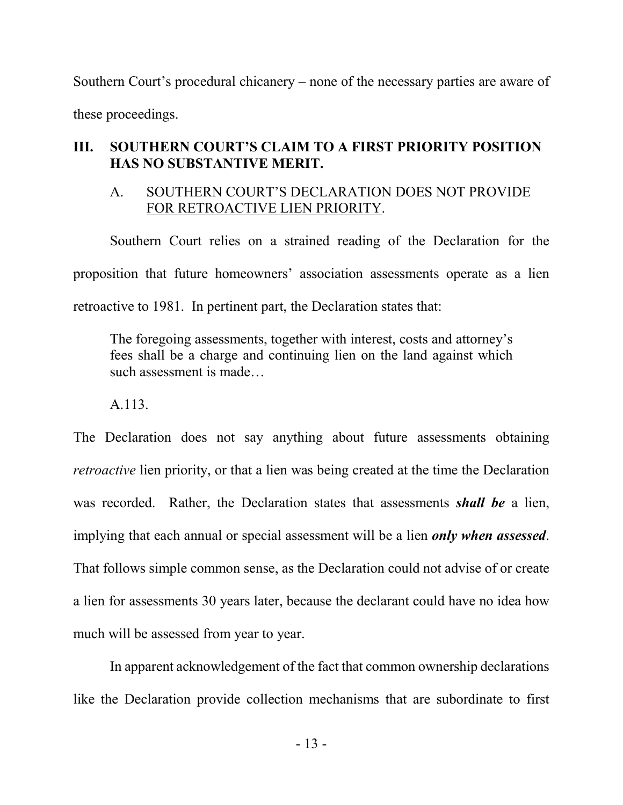Southern Court's procedural chicanery – none of the necessary parties are aware of these proceedings.

### **III. SOUTHERN COURT'S CLAIM TO A FIRST PRIORITY POSITION HAS NO SUBSTANTIVE MERIT.**

### A. SOUTHERN COURT'S DECLARATION DOES NOT PROVIDE FOR RETROACTIVE LIEN PRIORITY.

Southern Court relies on a strained reading of the Declaration for the proposition that future homeowners' association assessments operate as a lien retroactive to 1981. In pertinent part, the Declaration states that:

The foregoing assessments, together with interest, costs and attorney's fees shall be a charge and continuing lien on the land against which such assessment is made…

A.113.

The Declaration does not say anything about future assessments obtaining *retroactive* lien priority, or that a lien was being created at the time the Declaration was recorded. Rather, the Declaration states that assessments *shall be* a lien, implying that each annual or special assessment will be a lien *only when assessed*. That follows simple common sense, as the Declaration could not advise of or create a lien for assessments 30 years later, because the declarant could have no idea how much will be assessed from year to year.

In apparent acknowledgement of the fact that common ownership declarations like the Declaration provide collection mechanisms that are subordinate to first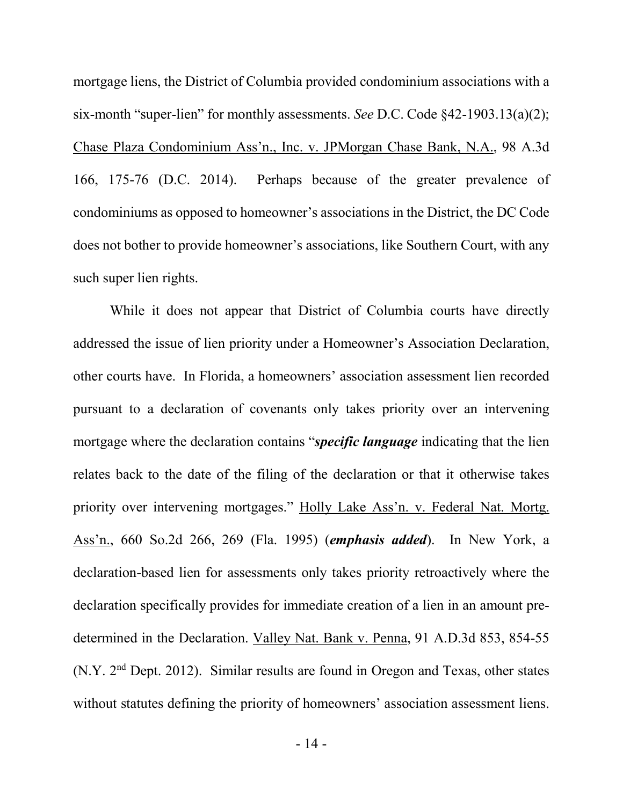mortgage liens, the District of Columbia provided condominium associations with a six-month "super-lien" for monthly assessments. *See* D.C. Code §42-1903.13(a)(2); Chase Plaza Condominium Ass'n., Inc. v. JPMorgan Chase Bank, N.A., 98 A.3d 166, 175-76 (D.C. 2014). Perhaps because of the greater prevalence of condominiums as opposed to homeowner's associations in the District, the DC Code does not bother to provide homeowner's associations, like Southern Court, with any such super lien rights.

While it does not appear that District of Columbia courts have directly addressed the issue of lien priority under a Homeowner's Association Declaration, other courts have. In Florida, a homeowners' association assessment lien recorded pursuant to a declaration of covenants only takes priority over an intervening mortgage where the declaration contains "*specific language* indicating that the lien relates back to the date of the filing of the declaration or that it otherwise takes priority over intervening mortgages." Holly Lake Ass'n. v. Federal Nat. Mortg. Ass'n., 660 So.2d 266, 269 (Fla. 1995) (*emphasis added*). In New York, a declaration-based lien for assessments only takes priority retroactively where the declaration specifically provides for immediate creation of a lien in an amount predetermined in the Declaration. Valley Nat. Bank v. Penna, 91 A.D.3d 853, 854-55 (N.Y. 2nd Dept. 2012). Similar results are found in Oregon and Texas, other states without statutes defining the priority of homeowners' association assessment liens.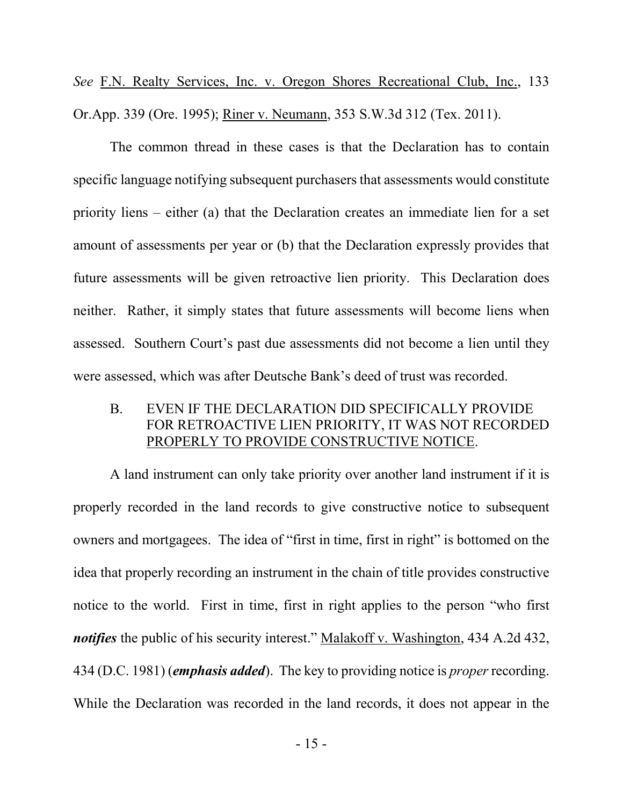*See* F.N. Realty Services, Inc. v. Oregon Shores Recreational Club, Inc., 133 Or.App. 339 (Ore. 1995); Riner v. Neumann, 353 S.W.3d 312 (Tex. 2011).

The common thread in these cases is that the Declaration has to contain specific language notifying subsequent purchasers that assessments would constitute priority liens – either (a) that the Declaration creates an immediate lien for a set amount of assessments per year or (b) that the Declaration expressly provides that future assessments will be given retroactive lien priority. This Declaration does neither. Rather, it simply states that future assessments will become liens when assessed. Southern Court's past due assessments did not become a lien until they were assessed, which was after Deutsche Bank's deed of trust was recorded.

B. EVEN IF THE DECLARATION DID SPECIFICALLY PROVIDE FOR RETROACTIVE LIEN PRIORITY, IT WAS NOT RECORDED PROPERLY TO PROVIDE CONSTRUCTIVE NOTICE.

A land instrument can only take priority over another land instrument if it is properly recorded in the land records to give constructive notice to subsequent owners and mortgagees. The idea of "first in time, first in right" is bottomed on the idea that properly recording an instrument in the chain of title provides constructive notice to the world. First in time, first in right applies to the person "who first *notifies* the public of his security interest." Malakoff v. Washington, 434 A.2d 432, 434 (D.C. 1981) (*emphasis added*). The key to providing notice is *proper* recording. While the Declaration was recorded in the land records, it does not appear in the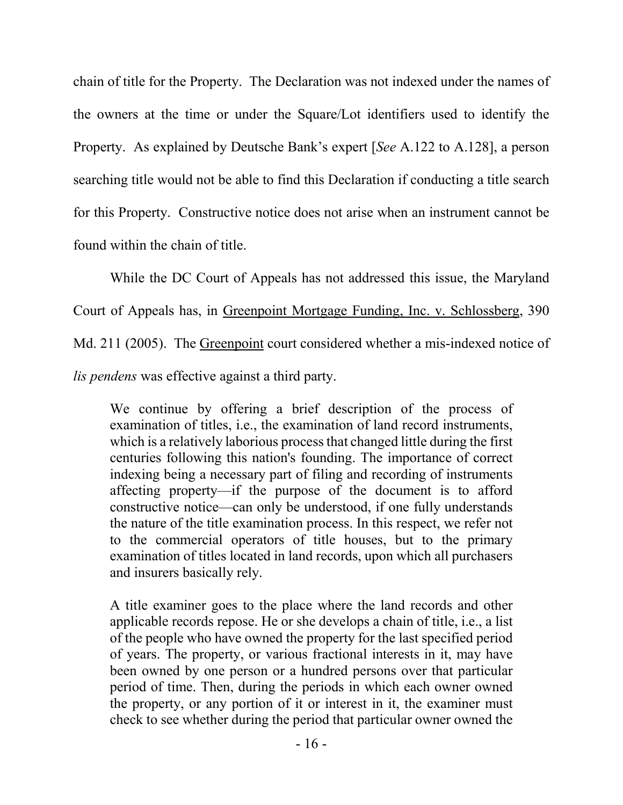chain of title for the Property. The Declaration was not indexed under the names of the owners at the time or under the Square/Lot identifiers used to identify the Property. As explained by Deutsche Bank's expert [*See* A.122 to A.128], a person searching title would not be able to find this Declaration if conducting a title search for this Property. Constructive notice does not arise when an instrument cannot be found within the chain of title.

While the DC Court of Appeals has not addressed this issue, the Maryland Court of Appeals has, in Greenpoint Mortgage Funding, Inc. v. Schlossberg, 390 Md. 211 (2005). The Greenpoint court considered whether a mis-indexed notice of *lis pendens* was effective against a third party.

We continue by offering a brief description of the process of examination of titles, i.e., the examination of land record instruments, which is a relatively laborious process that changed little during the first centuries following this nation's founding. The importance of correct indexing being a necessary part of filing and recording of instruments affecting property—if the purpose of the document is to afford constructive notice—can only be understood, if one fully understands the nature of the title examination process. In this respect, we refer not to the commercial operators of title houses, but to the primary examination of titles located in land records, upon which all purchasers and insurers basically rely.

A title examiner goes to the place where the land records and other applicable records repose. He or she develops a chain of title, i.e., a list of the people who have owned the property for the last specified period of years. The property, or various fractional interests in it, may have been owned by one person or a hundred persons over that particular period of time. Then, during the periods in which each owner owned the property, or any portion of it or interest in it, the examiner must check to see whether during the period that particular owner owned the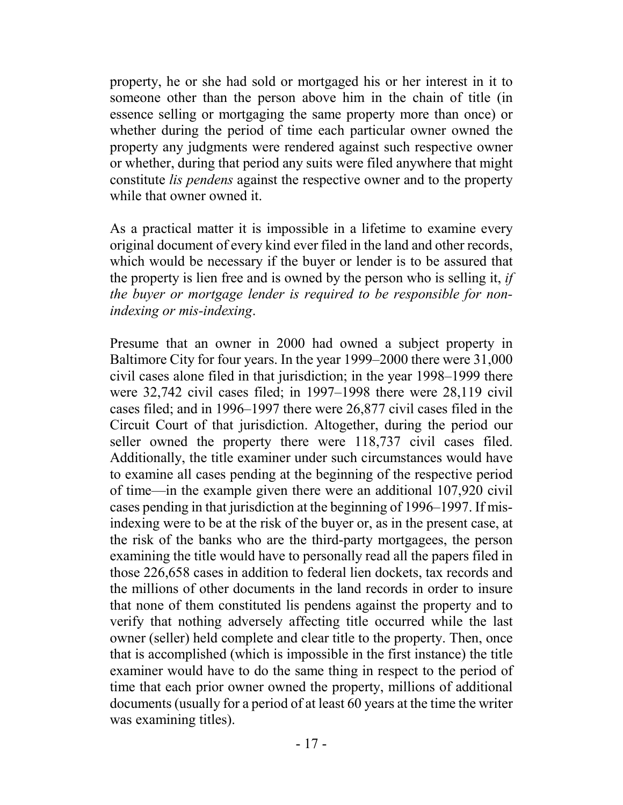property, he or she had sold or mortgaged his or her interest in it to someone other than the person above him in the chain of title (in essence selling or mortgaging the same property more than once) or whether during the period of time each particular owner owned the property any judgments were rendered against such respective owner or whether, during that period any suits were filed anywhere that might constitute *lis pendens* against the respective owner and to the property while that owner owned it.

As a practical matter it is impossible in a lifetime to examine every original document of every kind ever filed in the land and other records, which would be necessary if the buyer or lender is to be assured that the property is lien free and is owned by the person who is selling it, *if the buyer or mortgage lender is required to be responsible for nonindexing or mis-indexing*.

Presume that an owner in 2000 had owned a subject property in Baltimore City for four years. In the year 1999–2000 there were 31,000 civil cases alone filed in that jurisdiction; in the year 1998–1999 there were 32,742 civil cases filed; in 1997–1998 there were 28,119 civil cases filed; and in 1996–1997 there were 26,877 civil cases filed in the Circuit Court of that jurisdiction. Altogether, during the period our seller owned the property there were 118,737 civil cases filed. Additionally, the title examiner under such circumstances would have to examine all cases pending at the beginning of the respective period of time—in the example given there were an additional 107,920 civil cases pending in that jurisdiction at the beginning of 1996–1997. If misindexing were to be at the risk of the buyer or, as in the present case, at the risk of the banks who are the third-party mortgagees, the person examining the title would have to personally read all the papers filed in those 226,658 cases in addition to federal lien dockets, tax records and the millions of other documents in the land records in order to insure that none of them constituted lis pendens against the property and to verify that nothing adversely affecting title occurred while the last owner (seller) held complete and clear title to the property. Then, once that is accomplished (which is impossible in the first instance) the title examiner would have to do the same thing in respect to the period of time that each prior owner owned the property, millions of additional documents (usually for a period of at least 60 years at the time the writer was examining titles).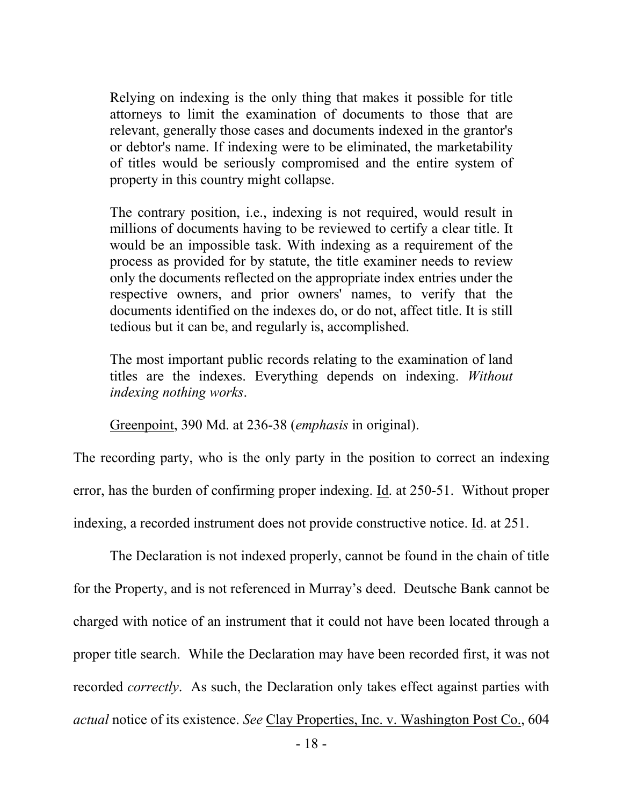Relying on indexing is the only thing that makes it possible for title attorneys to limit the examination of documents to those that are relevant, generally those cases and documents indexed in the grantor's or debtor's name. If indexing were to be eliminated, the marketability of titles would be seriously compromised and the entire system of property in this country might collapse.

The contrary position, i.e., indexing is not required, would result in millions of documents having to be reviewed to certify a clear title. It would be an impossible task. With indexing as a requirement of the process as provided for by statute, the title examiner needs to review only the documents reflected on the appropriate index entries under the respective owners, and prior owners' names, to verify that the documents identified on the indexes do, or do not, affect title. It is still tedious but it can be, and regularly is, accomplished.

The most important public records relating to the examination of land titles are the indexes. Everything depends on indexing. *Without indexing nothing works*.

Greenpoint, 390 Md. at 236-38 (*emphasis* in original).

The recording party, who is the only party in the position to correct an indexing error, has the burden of confirming proper indexing. <u>Id</u>. at 250-51. Without proper indexing, a recorded instrument does not provide constructive notice. Id. at 251.

The Declaration is not indexed properly, cannot be found in the chain of title for the Property, and is not referenced in Murray's deed. Deutsche Bank cannot be charged with notice of an instrument that it could not have been located through a proper title search. While the Declaration may have been recorded first, it was not recorded *correctly*. As such, the Declaration only takes effect against parties with *actual* notice of its existence. *See* Clay Properties, Inc. v. Washington Post Co., 604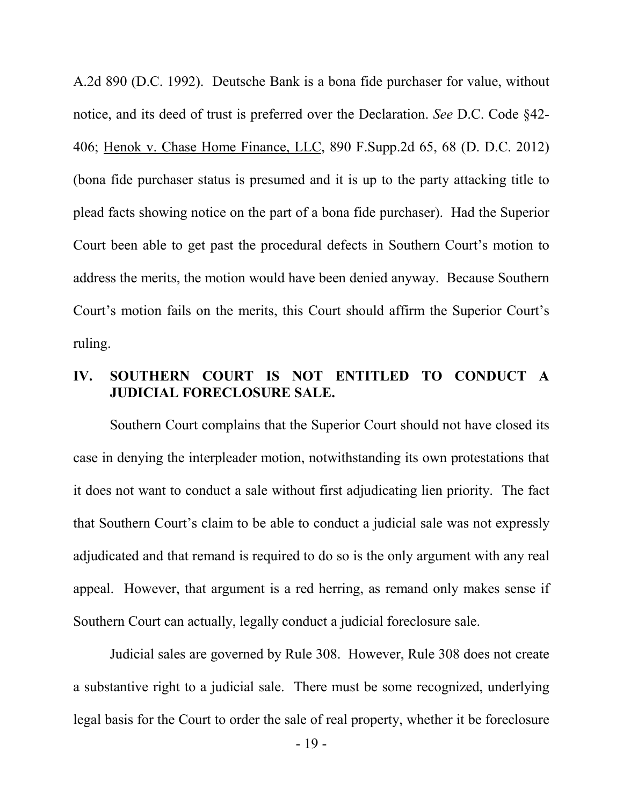A.2d 890 (D.C. 1992). Deutsche Bank is a bona fide purchaser for value, without notice, and its deed of trust is preferred over the Declaration. *See* D.C. Code §42- 406; Henok v. Chase Home Finance, LLC, 890 F.Supp.2d 65, 68 (D. D.C. 2012) (bona fide purchaser status is presumed and it is up to the party attacking title to plead facts showing notice on the part of a bona fide purchaser). Had the Superior Court been able to get past the procedural defects in Southern Court's motion to address the merits, the motion would have been denied anyway. Because Southern Court's motion fails on the merits, this Court should affirm the Superior Court's ruling.

### **IV. SOUTHERN COURT IS NOT ENTITLED TO CONDUCT A JUDICIAL FORECLOSURE SALE.**

Southern Court complains that the Superior Court should not have closed its case in denying the interpleader motion, notwithstanding its own protestations that it does not want to conduct a sale without first adjudicating lien priority. The fact that Southern Court's claim to be able to conduct a judicial sale was not expressly adjudicated and that remand is required to do so is the only argument with any real appeal. However, that argument is a red herring, as remand only makes sense if Southern Court can actually, legally conduct a judicial foreclosure sale.

Judicial sales are governed by Rule 308. However, Rule 308 does not create a substantive right to a judicial sale. There must be some recognized, underlying legal basis for the Court to order the sale of real property, whether it be foreclosure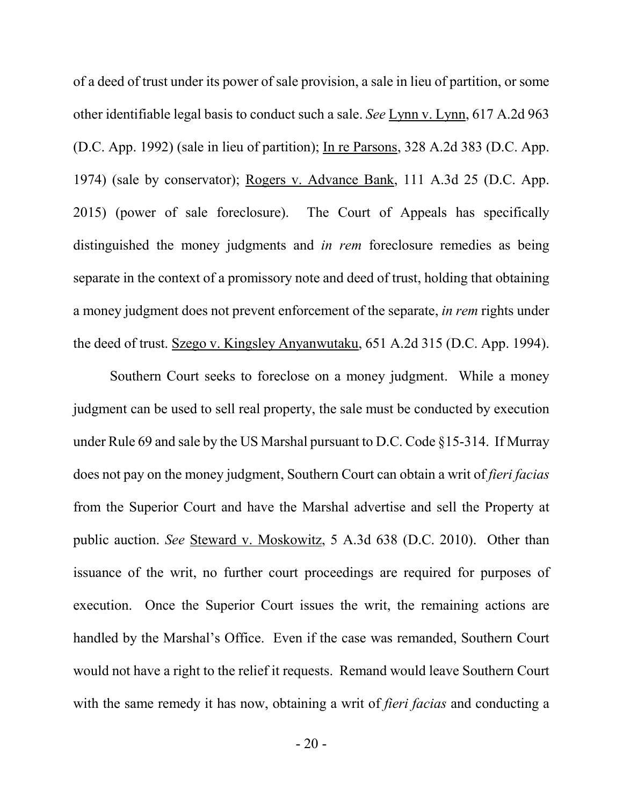of a deed of trust under its power of sale provision, a sale in lieu of partition, or some other identifiable legal basis to conduct such a sale. *See* Lynn v. Lynn, 617 A.2d 963 (D.C. App. 1992) (sale in lieu of partition); In re Parsons, 328 A.2d 383 (D.C. App. 1974) (sale by conservator); Rogers v. Advance Bank, 111 A.3d 25 (D.C. App. 2015) (power of sale foreclosure). The Court of Appeals has specifically distinguished the money judgments and *in rem* foreclosure remedies as being separate in the context of a promissory note and deed of trust, holding that obtaining a money judgment does not prevent enforcement of the separate, *in rem* rights under the deed of trust. Szego v. Kingsley Anyanwutaku, 651 A.2d 315 (D.C. App. 1994).

Southern Court seeks to foreclose on a money judgment. While a money judgment can be used to sell real property, the sale must be conducted by execution under Rule 69 and sale by the US Marshal pursuant to D.C. Code §15-314. If Murray does not pay on the money judgment, Southern Court can obtain a writ of *fieri facias* from the Superior Court and have the Marshal advertise and sell the Property at public auction. *See* Steward v. Moskowitz, 5 A.3d 638 (D.C. 2010). Other than issuance of the writ, no further court proceedings are required for purposes of execution. Once the Superior Court issues the writ, the remaining actions are handled by the Marshal's Office. Even if the case was remanded, Southern Court would not have a right to the relief it requests. Remand would leave Southern Court with the same remedy it has now, obtaining a writ of *fieri facias* and conducting a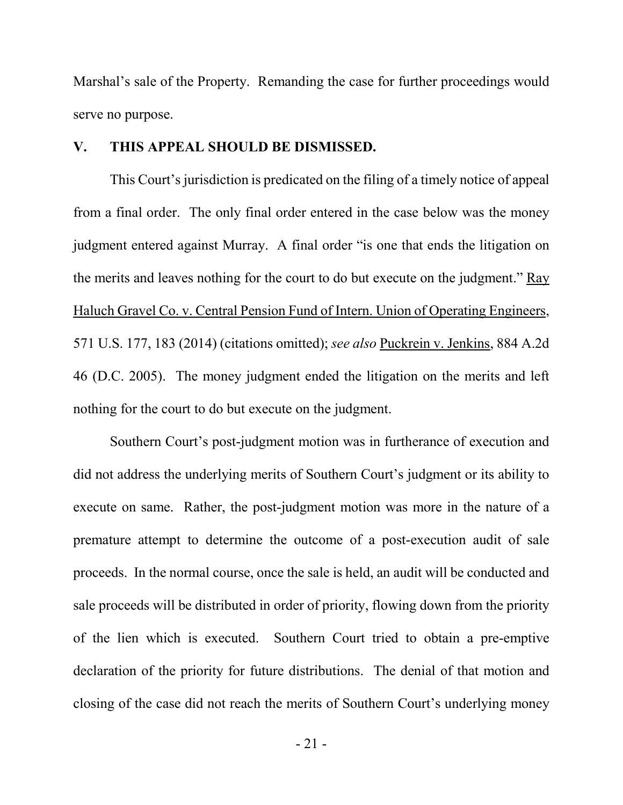Marshal's sale of the Property. Remanding the case for further proceedings would serve no purpose.

#### **V. THIS APPEAL SHOULD BE DISMISSED.**

This Court's jurisdiction is predicated on the filing of a timely notice of appeal from a final order. The only final order entered in the case below was the money judgment entered against Murray. A final order "is one that ends the litigation on the merits and leaves nothing for the court to do but execute on the judgment." Ray Haluch Gravel Co. v. Central Pension Fund of Intern. Union of Operating Engineers, 571 U.S. 177, 183 (2014) (citations omitted); *see also* Puckrein v. Jenkins, 884 A.2d 46 (D.C. 2005). The money judgment ended the litigation on the merits and left nothing for the court to do but execute on the judgment.

Southern Court's post-judgment motion was in furtherance of execution and did not address the underlying merits of Southern Court's judgment or its ability to execute on same. Rather, the post-judgment motion was more in the nature of a premature attempt to determine the outcome of a post-execution audit of sale proceeds. In the normal course, once the sale is held, an audit will be conducted and sale proceeds will be distributed in order of priority, flowing down from the priority of the lien which is executed. Southern Court tried to obtain a pre-emptive declaration of the priority for future distributions. The denial of that motion and closing of the case did not reach the merits of Southern Court's underlying money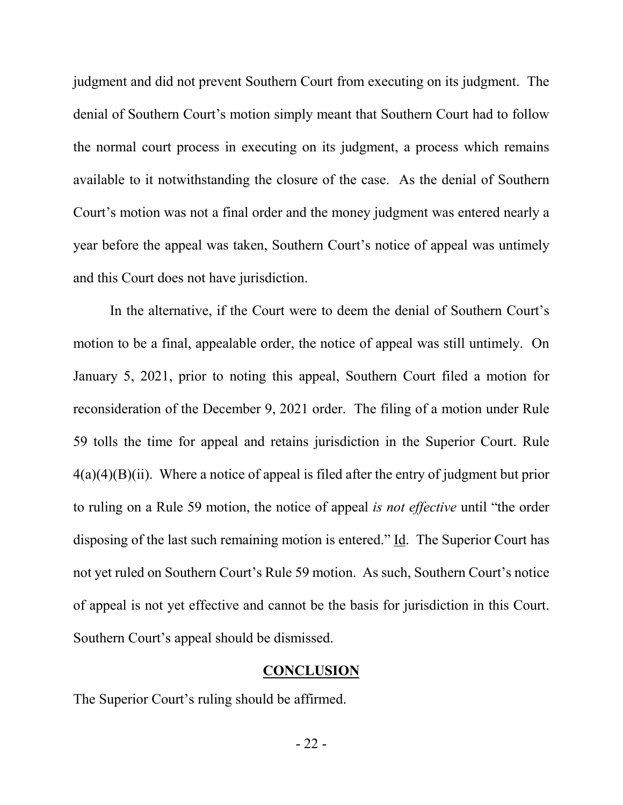judgment and did not prevent Southern Court from executing on its judgment. The denial of Southern Court's motion simply meant that Southern Court had to follow the normal court process in executing on its judgment, a process which remains available to it notwithstanding the closure of the case. As the denial of Southern Court's motion was not a final order and the money judgment was entered nearly a year before the appeal was taken, Southern Court's notice of appeal was untimely and this Court does not have jurisdiction.

In the alternative, if the Court were to deem the denial of Southern Court's motion to be a final, appealable order, the notice of appeal was still untimely. On January 5, 2021, prior to noting this appeal, Southern Court filed a motion for reconsideration of the December 9, 2021 order. The filing of a motion under Rule 59 tolls the time for appeal and retains jurisdiction in the Superior Court. Rule  $4(a)(4)(B)(ii)$ . Where a notice of appeal is filed after the entry of judgment but prior to ruling on a Rule 59 motion, the notice of appeal *is not effective* until "the order disposing of the last such remaining motion is entered." Id. The Superior Court has not yet ruled on Southern Court's Rule 59 motion. As such, Southern Court's notice of appeal is not yet effective and cannot be the basis for jurisdiction in this Court. Southern Court's appeal should be dismissed.

#### **CONCLUSION**

The Superior Court's ruling should be affirmed.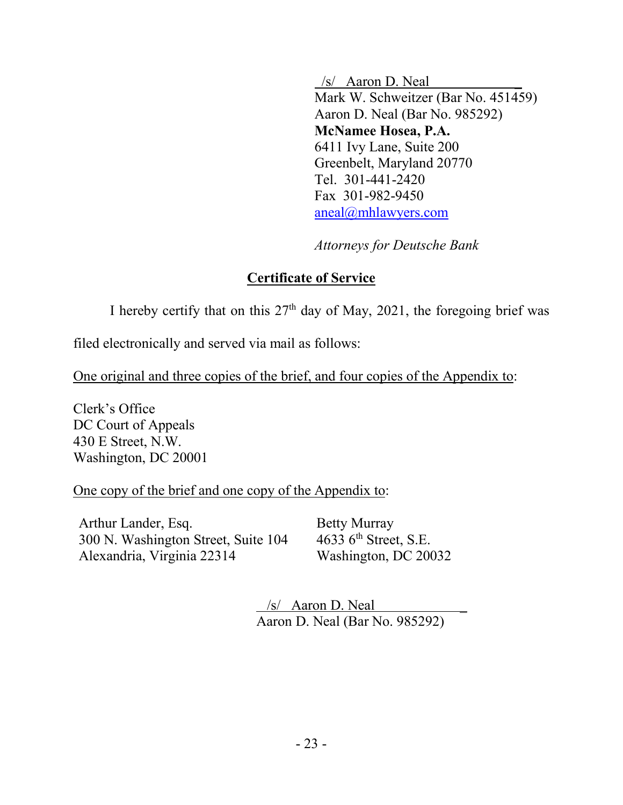$/s/$  Aaron D. Neal Mark W. Schweitzer (Bar No. 451459) Aaron D. Neal (Bar No. 985292) **McNamee Hosea, P.A.** 6411 Ivy Lane, Suite 200 Greenbelt, Maryland 20770 Tel. 301-441-2420 Fax 301-982-9450 aneal@mhlawyers.com

*Attorneys for Deutsche Bank*

### **Certificate of Service**

I hereby certify that on this  $27<sup>th</sup>$  day of May, 2021, the foregoing brief was

filed electronically and served via mail as follows:

One original and three copies of the brief, and four copies of the Appendix to:

Clerk's Office DC Court of Appeals 430 E Street, N.W. Washington, DC 20001

#### One copy of the brief and one copy of the Appendix to:

Arthur Lander, Esq. 300 N. Washington Street, Suite 104 Alexandria, Virginia 22314

Betty Murray 4633 6<sup>th</sup> Street, S.E. Washington, DC 20032

 $/s/$  Aaron D. Neal Aaron D. Neal (Bar No. 985292)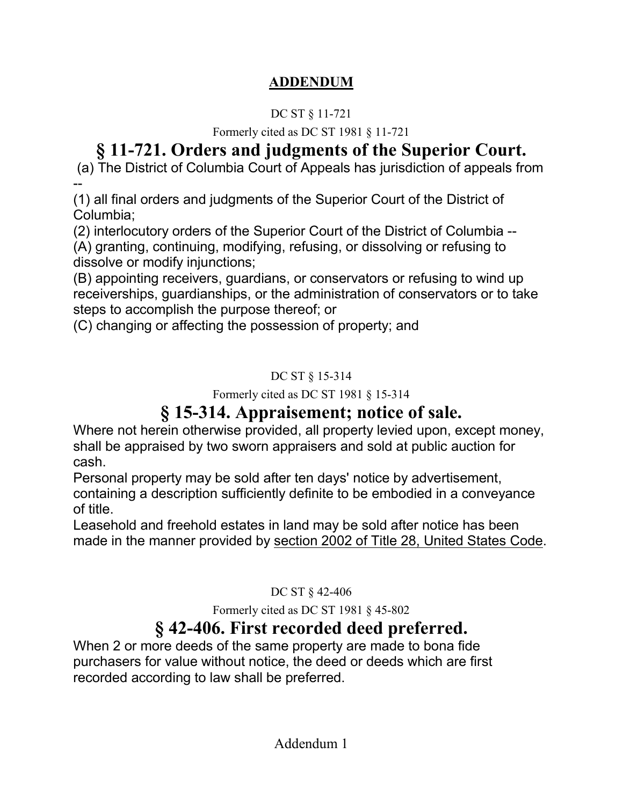### **ADDENDUM**

### DC ST § 11-721

Formerly cited as DC ST 1981 § 11-721

# **§ 11-721. Orders and judgments of the Superior Court.**

(a) The District of Columbia Court of Appeals has jurisdiction of appeals from --

(1) all final orders and judgments of the Superior Court of the District of Columbia;

(2) interlocutory orders of the Superior Court of the District of Columbia -- (A) granting, continuing, modifying, refusing, or dissolving or refusing to dissolve or modify injunctions;

(B) appointing receivers, guardians, or conservators or refusing to wind up receiverships, guardianships, or the administration of conservators or to take steps to accomplish the purpose thereof; or

(C) changing or affecting the possession of property; and

### DC ST § 15-314

Formerly cited as DC ST 1981 § 15-314

# **§ 15-314. Appraisement; notice of sale.**

Where not herein otherwise provided, all property levied upon, except money, shall be appraised by two sworn appraisers and sold at public auction for cash.

Personal property may be sold after ten days' notice by advertisement, containing a description sufficiently definite to be embodied in a conveyance of title.

Leasehold and freehold estates in land may be sold after notice has been made in the manner provided by section 2002 of Title 28, United States Code.

DC ST § 42-406

Formerly cited as DC ST 1981 § 45-802

# **§ 42-406. First recorded deed preferred.**

When 2 or more deeds of the same property are made to bona fide purchasers for value without notice, the deed or deeds which are first recorded according to law shall be preferred.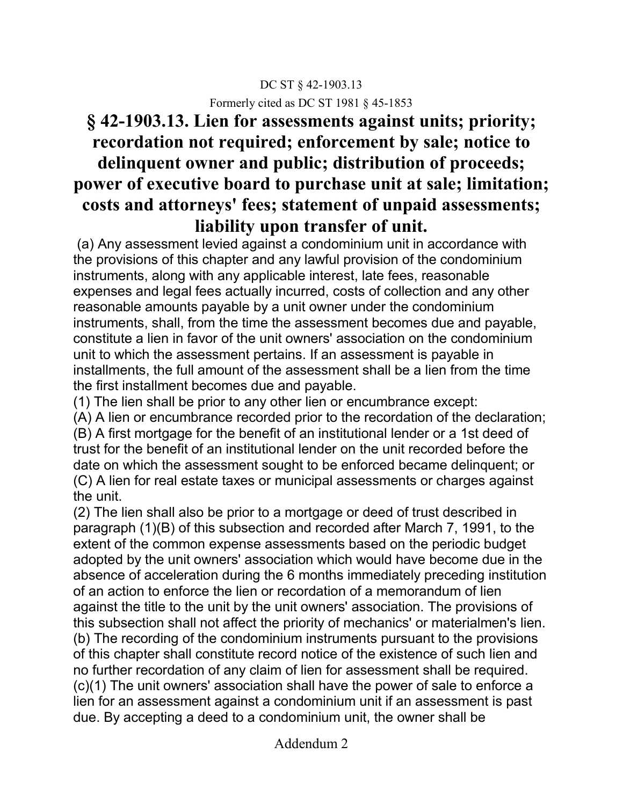### DC ST § 42-1903.13 Formerly cited as DC ST 1981 § 45-1853

# **§ 42-1903.13. Lien for assessments against units; priority; recordation not required; enforcement by sale; notice to delinquent owner and public; distribution of proceeds; power of executive board to purchase unit at sale; limitation; costs and attorneys' fees; statement of unpaid assessments; liability upon transfer of unit.**

(a) Any assessment levied against a condominium unit in accordance with the provisions of this chapter and any lawful provision of the condominium instruments, along with any applicable interest, late fees, reasonable expenses and legal fees actually incurred, costs of collection and any other reasonable amounts payable by a unit owner under the condominium instruments, shall, from the time the assessment becomes due and payable, constitute a lien in favor of the unit owners' association on the condominium unit to which the assessment pertains. If an assessment is payable in installments, the full amount of the assessment shall be a lien from the time the first installment becomes due and payable.

(1) The lien shall be prior to any other lien or encumbrance except:

(A) A lien or encumbrance recorded prior to the recordation of the declaration; (B) A first mortgage for the benefit of an institutional lender or a 1st deed of trust for the benefit of an institutional lender on the unit recorded before the date on which the assessment sought to be enforced became delinquent; or (C) A lien for real estate taxes or municipal assessments or charges against the unit.

(2) The lien shall also be prior to a mortgage or deed of trust described in paragraph (1)(B) of this subsection and recorded after March 7, 1991, to the extent of the common expense assessments based on the periodic budget adopted by the unit owners' association which would have become due in the absence of acceleration during the 6 months immediately preceding institution of an action to enforce the lien or recordation of a memorandum of lien against the title to the unit by the unit owners' association. The provisions of this subsection shall not affect the priority of mechanics' or materialmen's lien. (b) The recording of the condominium instruments pursuant to the provisions of this chapter shall constitute record notice of the existence of such lien and no further recordation of any claim of lien for assessment shall be required. (c)(1) The unit owners' association shall have the power of sale to enforce a lien for an assessment against a condominium unit if an assessment is past due. By accepting a deed to a condominium unit, the owner shall be

Addendum 2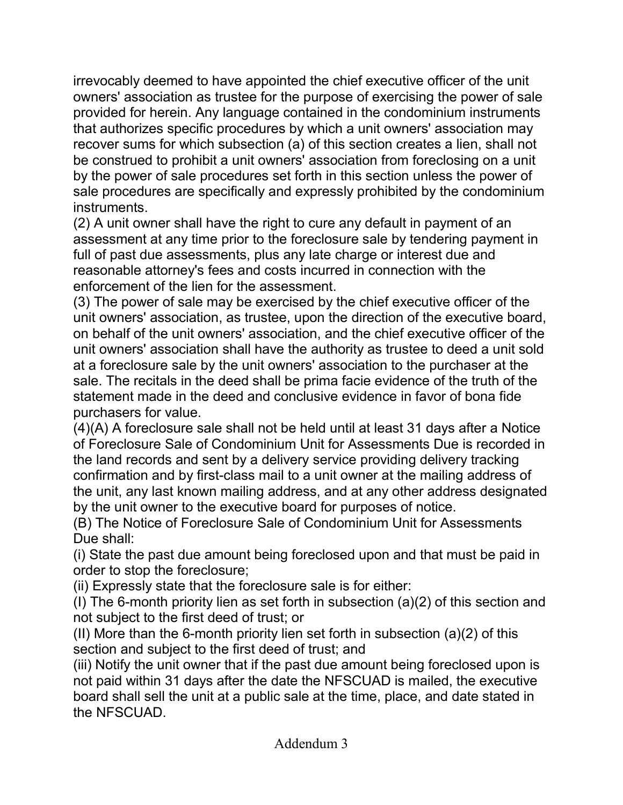irrevocably deemed to have appointed the chief executive officer of the unit owners' association as trustee for the purpose of exercising the power of sale provided for herein. Any language contained in the condominium instruments that authorizes specific procedures by which a unit owners' association may recover sums for which subsection (a) of this section creates a lien, shall not be construed to prohibit a unit owners' association from foreclosing on a unit by the power of sale procedures set forth in this section unless the power of sale procedures are specifically and expressly prohibited by the condominium instruments.

(2) A unit owner shall have the right to cure any default in payment of an assessment at any time prior to the foreclosure sale by tendering payment in full of past due assessments, plus any late charge or interest due and reasonable attorney's fees and costs incurred in connection with the enforcement of the lien for the assessment.

(3) The power of sale may be exercised by the chief executive officer of the unit owners' association, as trustee, upon the direction of the executive board, on behalf of the unit owners' association, and the chief executive officer of the unit owners' association shall have the authority as trustee to deed a unit sold at a foreclosure sale by the unit owners' association to the purchaser at the sale. The recitals in the deed shall be prima facie evidence of the truth of the statement made in the deed and conclusive evidence in favor of bona fide purchasers for value.

(4)(A) A foreclosure sale shall not be held until at least 31 days after a Notice of Foreclosure Sale of Condominium Unit for Assessments Due is recorded in the land records and sent by a delivery service providing delivery tracking confirmation and by first-class mail to a unit owner at the mailing address of the unit, any last known mailing address, and at any other address designated by the unit owner to the executive board for purposes of notice.

(B) The Notice of Foreclosure Sale of Condominium Unit for Assessments Due shall:

(i) State the past due amount being foreclosed upon and that must be paid in order to stop the foreclosure;

(ii) Expressly state that the foreclosure sale is for either:

(I) The 6-month priority lien as set forth in subsection (a)(2) of this section and not subject to the first deed of trust; or

(II) More than the 6-month priority lien set forth in subsection (a)(2) of this section and subject to the first deed of trust; and

(iii) Notify the unit owner that if the past due amount being foreclosed upon is not paid within 31 days after the date the NFSCUAD is mailed, the executive board shall sell the unit at a public sale at the time, place, and date stated in the NFSCUAD.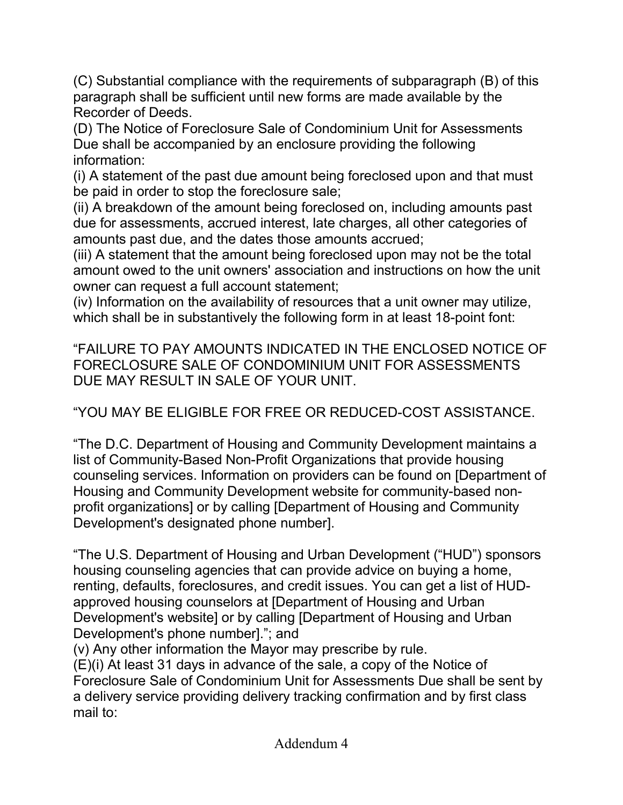(C) Substantial compliance with the requirements of subparagraph (B) of this paragraph shall be sufficient until new forms are made available by the Recorder of Deeds.

(D) The Notice of Foreclosure Sale of Condominium Unit for Assessments Due shall be accompanied by an enclosure providing the following information:

(i) A statement of the past due amount being foreclosed upon and that must be paid in order to stop the foreclosure sale;

(ii) A breakdown of the amount being foreclosed on, including amounts past due for assessments, accrued interest, late charges, all other categories of amounts past due, and the dates those amounts accrued;

(iii) A statement that the amount being foreclosed upon may not be the total amount owed to the unit owners' association and instructions on how the unit owner can request a full account statement;

(iv) Information on the availability of resources that a unit owner may utilize, which shall be in substantively the following form in at least 18-point font:

"FAILURE TO PAY AMOUNTS INDICATED IN THE ENCLOSED NOTICE OF FORECLOSURE SALE OF CONDOMINIUM UNIT FOR ASSESSMENTS DUE MAY RESULT IN SALE OF YOUR UNIT.

"YOU MAY BE ELIGIBLE FOR FREE OR REDUCED-COST ASSISTANCE.

"The D.C. Department of Housing and Community Development maintains a list of Community-Based Non-Profit Organizations that provide housing counseling services. Information on providers can be found on [Department of Housing and Community Development website for community-based nonprofit organizations] or by calling [Department of Housing and Community Development's designated phone number].

"The U.S. Department of Housing and Urban Development ("HUD") sponsors housing counseling agencies that can provide advice on buying a home, renting, defaults, foreclosures, and credit issues. You can get a list of HUDapproved housing counselors at [Department of Housing and Urban Development's website] or by calling [Department of Housing and Urban Development's phone number]."; and

(v) Any other information the Mayor may prescribe by rule.

(E)(i) At least 31 days in advance of the sale, a copy of the Notice of Foreclosure Sale of Condominium Unit for Assessments Due shall be sent by a delivery service providing delivery tracking confirmation and by first class mail to: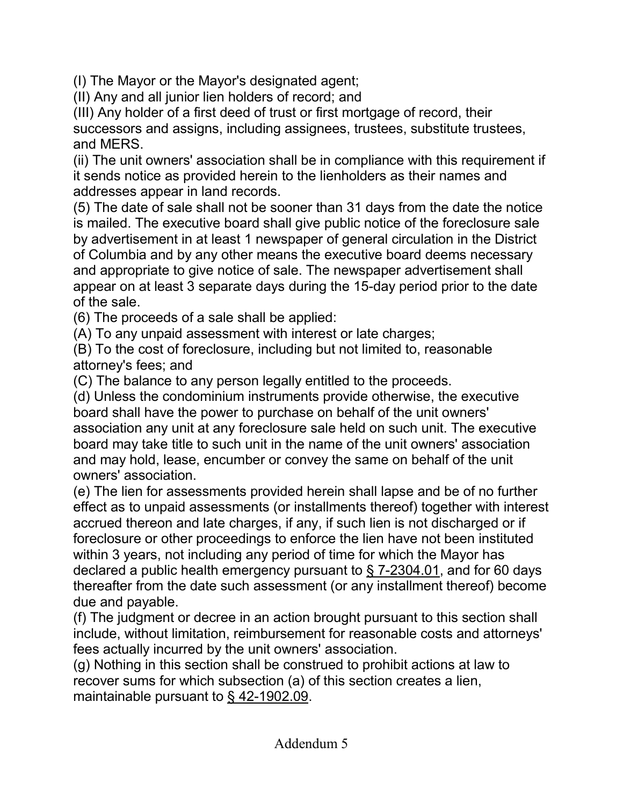(I) The Mayor or the Mayor's designated agent;

(II) Any and all junior lien holders of record; and

(III) Any holder of a first deed of trust or first mortgage of record, their successors and assigns, including assignees, trustees, substitute trustees, and MERS.

(ii) The unit owners' association shall be in compliance with this requirement if it sends notice as provided herein to the lienholders as their names and addresses appear in land records.

(5) The date of sale shall not be sooner than 31 days from the date the notice is mailed. The executive board shall give public notice of the foreclosure sale by advertisement in at least 1 newspaper of general circulation in the District of Columbia and by any other means the executive board deems necessary and appropriate to give notice of sale. The newspaper advertisement shall appear on at least 3 separate days during the 15-day period prior to the date of the sale.

(6) The proceeds of a sale shall be applied:

(A) To any unpaid assessment with interest or late charges;

(B) To the cost of foreclosure, including but not limited to, reasonable attorney's fees; and

(C) The balance to any person legally entitled to the proceeds.

(d) Unless the condominium instruments provide otherwise, the executive board shall have the power to purchase on behalf of the unit owners' association any unit at any foreclosure sale held on such unit. The executive board may take title to such unit in the name of the unit owners' association and may hold, lease, encumber or convey the same on behalf of the unit owners' association.

(e) The lien for assessments provided herein shall lapse and be of no further effect as to unpaid assessments (or installments thereof) together with interest accrued thereon and late charges, if any, if such lien is not discharged or if foreclosure or other proceedings to enforce the lien have not been instituted within 3 years, not including any period of time for which the Mayor has declared a public health emergency pursuant to § 7-2304.01, and for 60 days thereafter from the date such assessment (or any installment thereof) become due and payable.

(f) The judgment or decree in an action brought pursuant to this section shall include, without limitation, reimbursement for reasonable costs and attorneys' fees actually incurred by the unit owners' association.

(g) Nothing in this section shall be construed to prohibit actions at law to recover sums for which subsection (a) of this section creates a lien, maintainable pursuant to § 42-1902.09.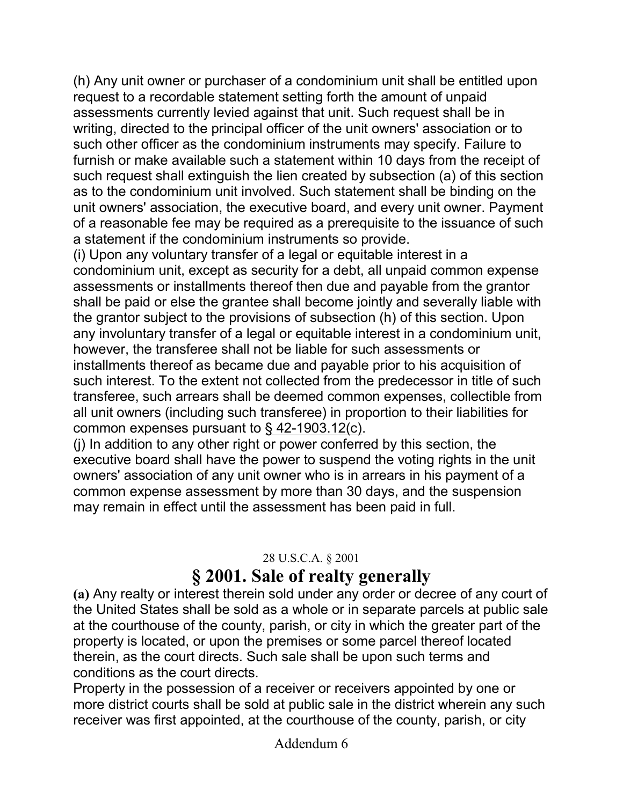(h) Any unit owner or purchaser of a condominium unit shall be entitled upon request to a recordable statement setting forth the amount of unpaid assessments currently levied against that unit. Such request shall be in writing, directed to the principal officer of the unit owners' association or to such other officer as the condominium instruments may specify. Failure to furnish or make available such a statement within 10 days from the receipt of such request shall extinguish the lien created by subsection (a) of this section as to the condominium unit involved. Such statement shall be binding on the unit owners' association, the executive board, and every unit owner. Payment of a reasonable fee may be required as a prerequisite to the issuance of such a statement if the condominium instruments so provide.

(i) Upon any voluntary transfer of a legal or equitable interest in a condominium unit, except as security for a debt, all unpaid common expense assessments or installments thereof then due and payable from the grantor shall be paid or else the grantee shall become jointly and severally liable with the grantor subject to the provisions of subsection (h) of this section. Upon any involuntary transfer of a legal or equitable interest in a condominium unit, however, the transferee shall not be liable for such assessments or installments thereof as became due and payable prior to his acquisition of such interest. To the extent not collected from the predecessor in title of such transferee, such arrears shall be deemed common expenses, collectible from all unit owners (including such transferee) in proportion to their liabilities for common expenses pursuant to § 42-1903.12(c).

(j) In addition to any other right or power conferred by this section, the executive board shall have the power to suspend the voting rights in the unit owners' association of any unit owner who is in arrears in his payment of a common expense assessment by more than 30 days, and the suspension may remain in effect until the assessment has been paid in full.

### 28 U.S.C.A. § 2001

# **§ 2001. Sale of realty generally**

**(a)** Any realty or interest therein sold under any order or decree of any court of the United States shall be sold as a whole or in separate parcels at public sale at the courthouse of the county, parish, or city in which the greater part of the property is located, or upon the premises or some parcel thereof located therein, as the court directs. Such sale shall be upon such terms and conditions as the court directs.

Property in the possession of a receiver or receivers appointed by one or more district courts shall be sold at public sale in the district wherein any such receiver was first appointed, at the courthouse of the county, parish, or city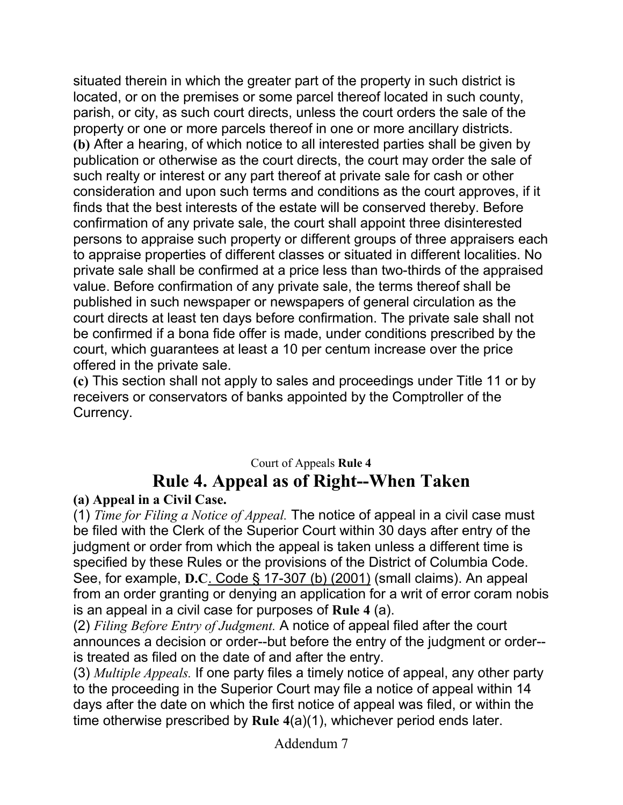situated therein in which the greater part of the property in such district is located, or on the premises or some parcel thereof located in such county, parish, or city, as such court directs, unless the court orders the sale of the property or one or more parcels thereof in one or more ancillary districts. **(b)** After a hearing, of which notice to all interested parties shall be given by publication or otherwise as the court directs, the court may order the sale of such realty or interest or any part thereof at private sale for cash or other consideration and upon such terms and conditions as the court approves, if it finds that the best interests of the estate will be conserved thereby. Before confirmation of any private sale, the court shall appoint three disinterested persons to appraise such property or different groups of three appraisers each to appraise properties of different classes or situated in different localities. No private sale shall be confirmed at a price less than two-thirds of the appraised value. Before confirmation of any private sale, the terms thereof shall be published in such newspaper or newspapers of general circulation as the court directs at least ten days before confirmation. The private sale shall not be confirmed if a bona fide offer is made, under conditions prescribed by the court, which guarantees at least a 10 per centum increase over the price offered in the private sale.

**(c)** This section shall not apply to sales and proceedings under Title 11 or by receivers or conservators of banks appointed by the Comptroller of the Currency.

# Court of Appeals **Rule 4 Rule 4. Appeal as of Right--When Taken**

### **(a) Appeal in a Civil Case.**

(1) *Time for Filing a Notice of Appeal.* The notice of appeal in a civil case must be filed with the Clerk of the Superior Court within 30 days after entry of the judgment or order from which the appeal is taken unless a different time is specified by these Rules or the provisions of the District of Columbia Code. See, for example, **D.C**. Code § 17-307 (b) (2001) (small claims). An appeal from an order granting or denying an application for a writ of error coram nobis is an appeal in a civil case for purposes of **Rule 4** (a).

(2) *Filing Before Entry of Judgment.* A notice of appeal filed after the court announces a decision or order--but before the entry of the judgment or order- is treated as filed on the date of and after the entry.

(3) *Multiple Appeals.* If one party files a timely notice of appeal, any other party to the proceeding in the Superior Court may file a notice of appeal within 14 days after the date on which the first notice of appeal was filed, or within the time otherwise prescribed by **Rule 4**(a)(1), whichever period ends later.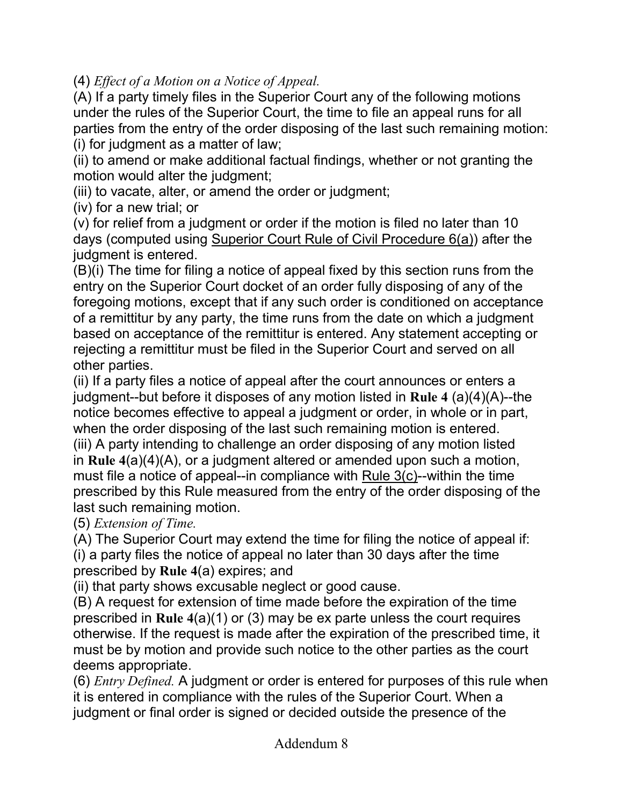(4) *Effect of a Motion on a Notice of Appeal.*

(A) If a party timely files in the Superior Court any of the following motions under the rules of the Superior Court, the time to file an appeal runs for all parties from the entry of the order disposing of the last such remaining motion: (i) for judgment as a matter of law;

(ii) to amend or make additional factual findings, whether or not granting the motion would alter the judgment;

(iii) to vacate, alter, or amend the order or judgment;

(iv) for a new trial; or

(v) for relief from a judgment or order if the motion is filed no later than 10 days (computed using Superior Court Rule of Civil Procedure 6(a)) after the judgment is entered.

(B)(i) The time for filing a notice of appeal fixed by this section runs from the entry on the Superior Court docket of an order fully disposing of any of the foregoing motions, except that if any such order is conditioned on acceptance of a remittitur by any party, the time runs from the date on which a judgment based on acceptance of the remittitur is entered. Any statement accepting or rejecting a remittitur must be filed in the Superior Court and served on all other parties.

(ii) If a party files a notice of appeal after the court announces or enters a judgment--but before it disposes of any motion listed in **Rule 4** (a)(4)(A)--the notice becomes effective to appeal a judgment or order, in whole or in part, when the order disposing of the last such remaining motion is entered. (iii) A party intending to challenge an order disposing of any motion listed in **Rule 4**(a)(4)(A), or a judgment altered or amended upon such a motion, must file a notice of appeal--in compliance with Rule 3(c)--within the time prescribed by this Rule measured from the entry of the order disposing of the last such remaining motion.

(5) *Extension of Time.*

(A) The Superior Court may extend the time for filing the notice of appeal if: (i) a party files the notice of appeal no later than 30 days after the time prescribed by **Rule 4**(a) expires; and

(ii) that party shows excusable neglect or good cause.

(B) A request for extension of time made before the expiration of the time prescribed in **Rule 4**(a)(1) or (3) may be ex parte unless the court requires otherwise. If the request is made after the expiration of the prescribed time, it must be by motion and provide such notice to the other parties as the court deems appropriate.

(6) *Entry Defined.* A judgment or order is entered for purposes of this rule when it is entered in compliance with the rules of the Superior Court. When a judgment or final order is signed or decided outside the presence of the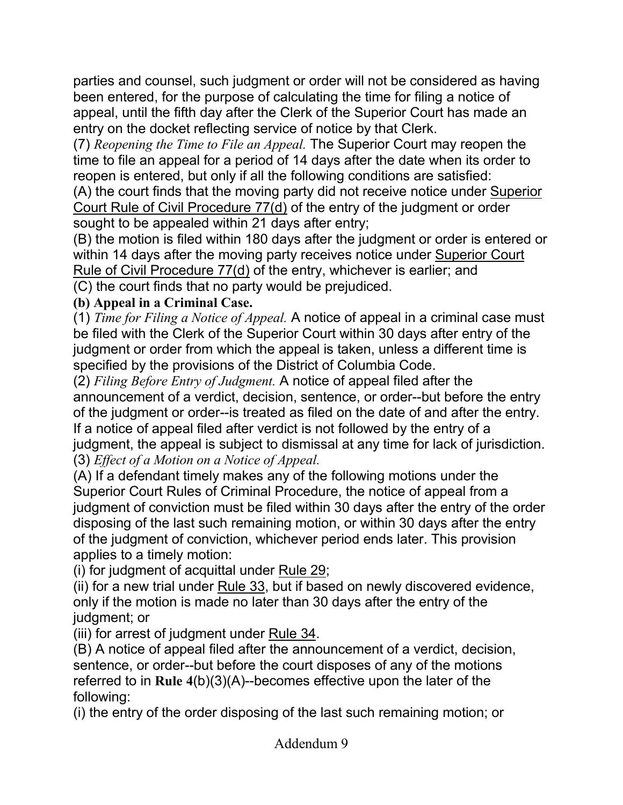parties and counsel, such judgment or order will not be considered as having been entered, for the purpose of calculating the time for filing a notice of appeal, until the fifth day after the Clerk of the Superior Court has made an entry on the docket reflecting service of notice by that Clerk.

(7) *Reopening the Time to File an Appeal.* The Superior Court may reopen the time to file an appeal for a period of 14 days after the date when its order to reopen is entered, but only if all the following conditions are satisfied:

(A) the court finds that the moving party did not receive notice under Superior Court Rule of Civil Procedure 77(d) of the entry of the judgment or order sought to be appealed within 21 days after entry;

(B) the motion is filed within 180 days after the judgment or order is entered or within 14 days after the moving party receives notice under Superior Court Rule of Civil Procedure 77(d) of the entry, whichever is earlier; and

(C) the court finds that no party would be prejudiced.

### **(b) Appeal in a Criminal Case.**

(1) *Time for Filing a Notice of Appeal.* A notice of appeal in a criminal case must be filed with the Clerk of the Superior Court within 30 days after entry of the judgment or order from which the appeal is taken, unless a different time is specified by the provisions of the District of Columbia Code.

(2) *Filing Before Entry of Judgment.* A notice of appeal filed after the announcement of a verdict, decision, sentence, or order--but before the entry of the judgment or order--is treated as filed on the date of and after the entry. If a notice of appeal filed after verdict is not followed by the entry of a judgment, the appeal is subject to dismissal at any time for lack of jurisdiction. (3) *Effect of a Motion on a Notice of Appeal.*

(A) If a defendant timely makes any of the following motions under the Superior Court Rules of Criminal Procedure, the notice of appeal from a judgment of conviction must be filed within 30 days after the entry of the order disposing of the last such remaining motion, or within 30 days after the entry of the judgment of conviction, whichever period ends later. This provision applies to a timely motion:

(i) for judgment of acquittal under Rule 29;

(ii) for a new trial under Rule 33, but if based on newly discovered evidence, only if the motion is made no later than 30 days after the entry of the judgment; or

(iii) for arrest of judgment under Rule 34.

(B) A notice of appeal filed after the announcement of a verdict, decision, sentence, or order--but before the court disposes of any of the motions referred to in **Rule 4**(b)(3)(A)--becomes effective upon the later of the following:

(i) the entry of the order disposing of the last such remaining motion; or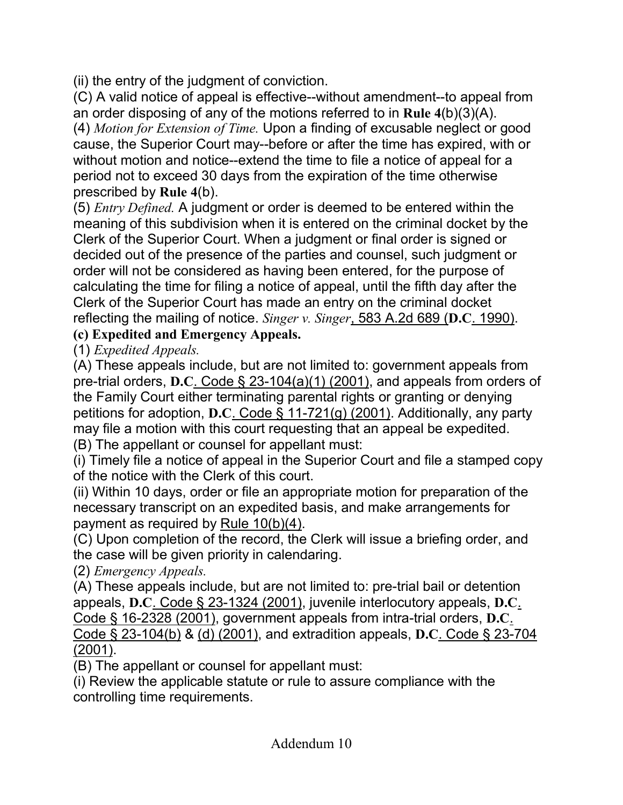(ii) the entry of the judgment of conviction.

(C) A valid notice of appeal is effective--without amendment--to appeal from an order disposing of any of the motions referred to in **Rule 4**(b)(3)(A).

(4) *Motion for Extension of Time.* Upon a finding of excusable neglect or good cause, the Superior Court may--before or after the time has expired, with or without motion and notice--extend the time to file a notice of appeal for a period not to exceed 30 days from the expiration of the time otherwise prescribed by **Rule 4**(b).

(5) *Entry Defined.* A judgment or order is deemed to be entered within the meaning of this subdivision when it is entered on the criminal docket by the Clerk of the Superior Court. When a judgment or final order is signed or decided out of the presence of the parties and counsel, such judgment or order will not be considered as having been entered, for the purpose of calculating the time for filing a notice of appeal, until the fifth day after the Clerk of the Superior Court has made an entry on the criminal docket reflecting the mailing of notice. *Singer v. Singer*, 583 A.2d 689 (**D.C**. 1990).

**(c) Expedited and Emergency Appeals.**

(1) *Expedited Appeals.*

(A) These appeals include, but are not limited to: government appeals from pre-trial orders, **D.C**. Code § 23-104(a)(1) (2001), and appeals from orders of the Family Court either terminating parental rights or granting or denying petitions for adoption, **D.C**. Code § 11-721(g) (2001). Additionally, any party may file a motion with this court requesting that an appeal be expedited. (B) The appellant or counsel for appellant must:

(i) Timely file a notice of appeal in the Superior Court and file a stamped copy of the notice with the Clerk of this court.

(ii) Within 10 days, order or file an appropriate motion for preparation of the necessary transcript on an expedited basis, and make arrangements for payment as required by Rule 10(b)(4).

(C) Upon completion of the record, the Clerk will issue a briefing order, and the case will be given priority in calendaring.

(2) *Emergency Appeals.*

(A) These appeals include, but are not limited to: pre-trial bail or detention appeals, **D.C**. Code § 23-1324 (2001), juvenile interlocutory appeals, **D.C**. Code § 16-2328 (2001), government appeals from intra-trial orders, **D.C**. Code § 23-104(b) & (d) (2001), and extradition appeals, **D.C**. Code § 23-704 (2001).

(B) The appellant or counsel for appellant must:

(i) Review the applicable statute or rule to assure compliance with the controlling time requirements.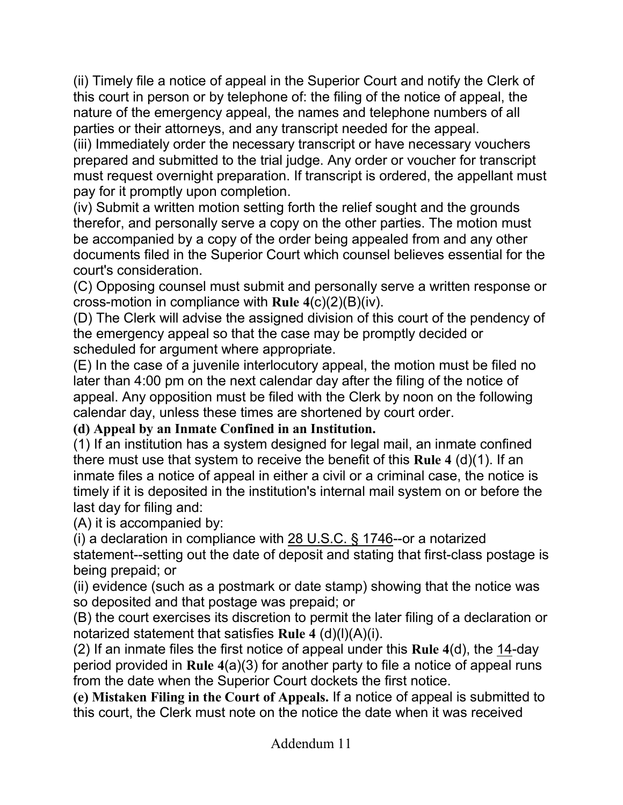(ii) Timely file a notice of appeal in the Superior Court and notify the Clerk of this court in person or by telephone of: the filing of the notice of appeal, the nature of the emergency appeal, the names and telephone numbers of all parties or their attorneys, and any transcript needed for the appeal.

(iii) Immediately order the necessary transcript or have necessary vouchers prepared and submitted to the trial judge. Any order or voucher for transcript must request overnight preparation. If transcript is ordered, the appellant must pay for it promptly upon completion.

(iv) Submit a written motion setting forth the relief sought and the grounds therefor, and personally serve a copy on the other parties. The motion must be accompanied by a copy of the order being appealed from and any other documents filed in the Superior Court which counsel believes essential for the court's consideration.

(C) Opposing counsel must submit and personally serve a written response or cross-motion in compliance with **Rule 4**(c)(2)(B)(iv).

(D) The Clerk will advise the assigned division of this court of the pendency of the emergency appeal so that the case may be promptly decided or scheduled for argument where appropriate.

(E) In the case of a juvenile interlocutory appeal, the motion must be filed no later than 4:00 pm on the next calendar day after the filing of the notice of appeal. Any opposition must be filed with the Clerk by noon on the following calendar day, unless these times are shortened by court order.

### **(d) Appeal by an Inmate Confined in an Institution.**

(1) If an institution has a system designed for legal mail, an inmate confined there must use that system to receive the benefit of this **Rule 4** (d)(1). If an inmate files a notice of appeal in either a civil or a criminal case, the notice is timely if it is deposited in the institution's internal mail system on or before the last day for filing and:

(A) it is accompanied by:

(i) a declaration in compliance with 28 U.S.C. § 1746--or a notarized statement--setting out the date of deposit and stating that first-class postage is being prepaid; or

(ii) evidence (such as a postmark or date stamp) showing that the notice was so deposited and that postage was prepaid; or

(B) the court exercises its discretion to permit the later filing of a declaration or notarized statement that satisfies **Rule 4** (d)(l)(A)(i).

(2) If an inmate files the first notice of appeal under this **Rule 4**(d), the 14-day period provided in **Rule 4**(a)(3) for another party to file a notice of appeal runs from the date when the Superior Court dockets the first notice.

**(e) Mistaken Filing in the Court of Appeals.** If a notice of appeal is submitted to this court, the Clerk must note on the notice the date when it was received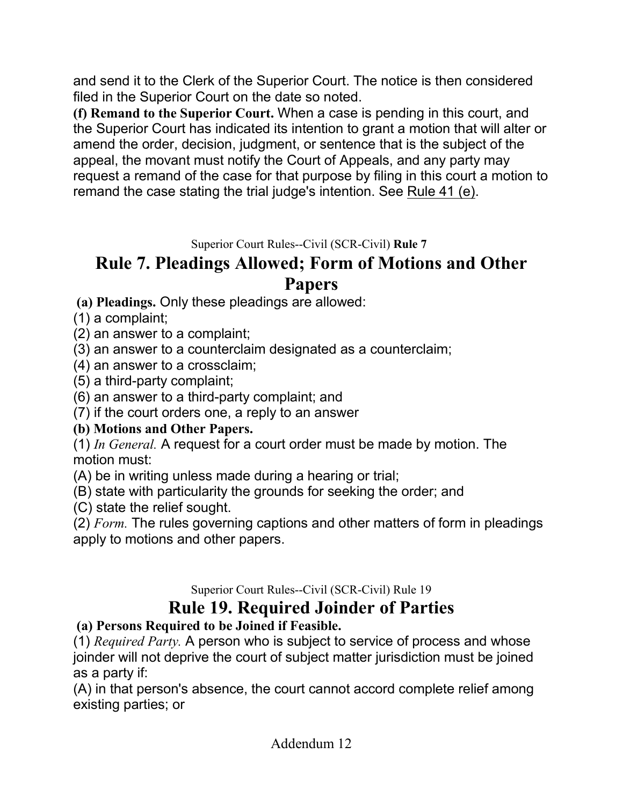and send it to the Clerk of the Superior Court. The notice is then considered filed in the Superior Court on the date so noted.

**(f) Remand to the Superior Court.** When a case is pending in this court, and the Superior Court has indicated its intention to grant a motion that will alter or amend the order, decision, judgment, or sentence that is the subject of the appeal, the movant must notify the Court of Appeals, and any party may request a remand of the case for that purpose by filing in this court a motion to remand the case stating the trial judge's intention. See Rule 41 (e).

Superior Court Rules--Civil (SCR-Civil) **Rule 7**

# **Rule 7. Pleadings Allowed; Form of Motions and Other Papers**

**(a) Pleadings.** Only these pleadings are allowed:

(1) a complaint;

(2) an answer to a complaint;

(3) an answer to a counterclaim designated as a counterclaim;

(4) an answer to a crossclaim;

(5) a third-party complaint;

(6) an answer to a third-party complaint; and

(7) if the court orders one, a reply to an answer

### **(b) Motions and Other Papers.**

(1) *In General.* A request for a court order must be made by motion. The motion must:

(A) be in writing unless made during a hearing or trial;

(B) state with particularity the grounds for seeking the order; and

(C) state the relief sought.

(2) *Form.* The rules governing captions and other matters of form in pleadings apply to motions and other papers.

Superior Court Rules--Civil (SCR-Civil) Rule 19

# **Rule 19. Required Joinder of Parties**

### **(a) Persons Required to be Joined if Feasible.**

(1) *Required Party.* A person who is subject to service of process and whose joinder will not deprive the court of subject matter jurisdiction must be joined as a party if:

(A) in that person's absence, the court cannot accord complete relief among existing parties; or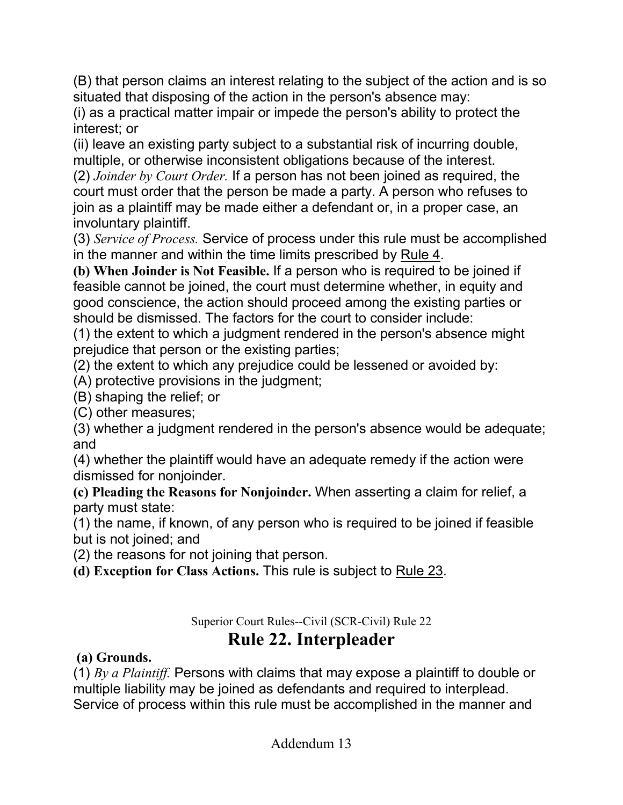(B) that person claims an interest relating to the subject of the action and is so situated that disposing of the action in the person's absence may:

(i) as a practical matter impair or impede the person's ability to protect the interest; or

(ii) leave an existing party subject to a substantial risk of incurring double, multiple, or otherwise inconsistent obligations because of the interest.

(2) *Joinder by Court Order.* If a person has not been joined as required, the court must order that the person be made a party. A person who refuses to join as a plaintiff may be made either a defendant or, in a proper case, an involuntary plaintiff.

(3) *Service of Process.* Service of process under this rule must be accomplished in the manner and within the time limits prescribed by Rule 4.

**(b) When Joinder is Not Feasible.** If a person who is required to be joined if feasible cannot be joined, the court must determine whether, in equity and good conscience, the action should proceed among the existing parties or should be dismissed. The factors for the court to consider include:

(1) the extent to which a judgment rendered in the person's absence might prejudice that person or the existing parties;

(2) the extent to which any prejudice could be lessened or avoided by:

(A) protective provisions in the judgment;

(B) shaping the relief; or

(C) other measures;

(3) whether a judgment rendered in the person's absence would be adequate; and

(4) whether the plaintiff would have an adequate remedy if the action were dismissed for nonjoinder.

**(c) Pleading the Reasons for Nonjoinder.** When asserting a claim for relief, a party must state:

(1) the name, if known, of any person who is required to be joined if feasible but is not joined; and

(2) the reasons for not joining that person.

**(d) Exception for Class Actions.** This rule is subject to Rule 23.

Superior Court Rules--Civil (SCR-Civil) Rule 22

# **Rule 22. Interpleader**

### **(a) Grounds.**

(1) *By a Plaintiff.* Persons with claims that may expose a plaintiff to double or multiple liability may be joined as defendants and required to interplead. Service of process within this rule must be accomplished in the manner and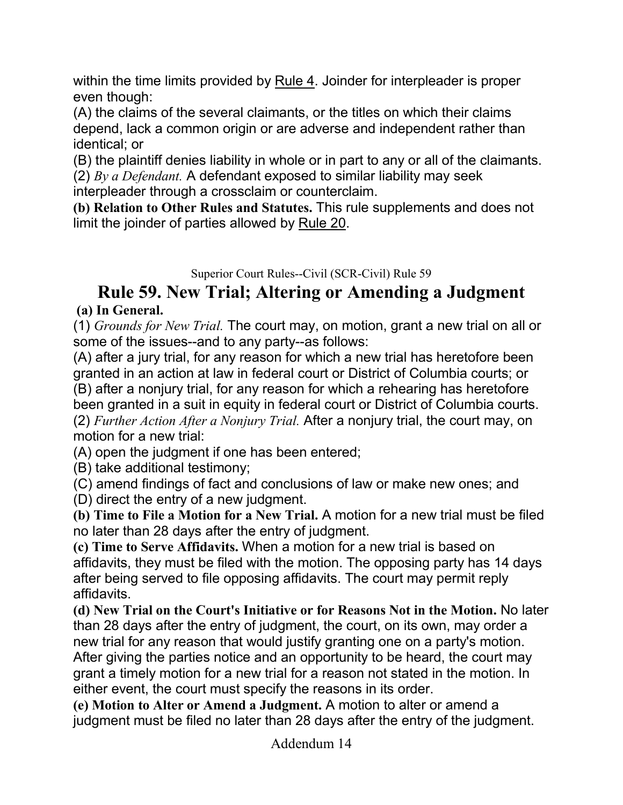within the time limits provided by Rule 4. Joinder for interpleader is proper even though:

(A) the claims of the several claimants, or the titles on which their claims depend, lack a common origin or are adverse and independent rather than identical; or

(B) the plaintiff denies liability in whole or in part to any or all of the claimants.

(2) *By a Defendant.* A defendant exposed to similar liability may seek interpleader through a crossclaim or counterclaim.

**(b) Relation to Other Rules and Statutes.** This rule supplements and does not limit the joinder of parties allowed by Rule 20.

Superior Court Rules--Civil (SCR-Civil) Rule 59

# **Rule 59. New Trial; Altering or Amending a Judgment**

### **(a) In General.**

(1) *Grounds for New Trial.* The court may, on motion, grant a new trial on all or some of the issues--and to any party--as follows:

(A) after a jury trial, for any reason for which a new trial has heretofore been granted in an action at law in federal court or District of Columbia courts; or (B) after a nonjury trial, for any reason for which a rehearing has heretofore been granted in a suit in equity in federal court or District of Columbia courts. (2) *Further Action After a Nonjury Trial.* After a nonjury trial, the court may, on motion for a new trial:

(A) open the judgment if one has been entered;

(B) take additional testimony;

(C) amend findings of fact and conclusions of law or make new ones; and

(D) direct the entry of a new judgment.

**(b) Time to File a Motion for a New Trial.** A motion for a new trial must be filed no later than 28 days after the entry of judgment.

**(c) Time to Serve Affidavits.** When a motion for a new trial is based on affidavits, they must be filed with the motion. The opposing party has 14 days after being served to file opposing affidavits. The court may permit reply affidavits.

**(d) New Trial on the Court's Initiative or for Reasons Not in the Motion.** No later than 28 days after the entry of judgment, the court, on its own, may order a new trial for any reason that would justify granting one on a party's motion. After giving the parties notice and an opportunity to be heard, the court may grant a timely motion for a new trial for a reason not stated in the motion. In either event, the court must specify the reasons in its order.

**(e) Motion to Alter or Amend a Judgment.** A motion to alter or amend a judgment must be filed no later than 28 days after the entry of the judgment.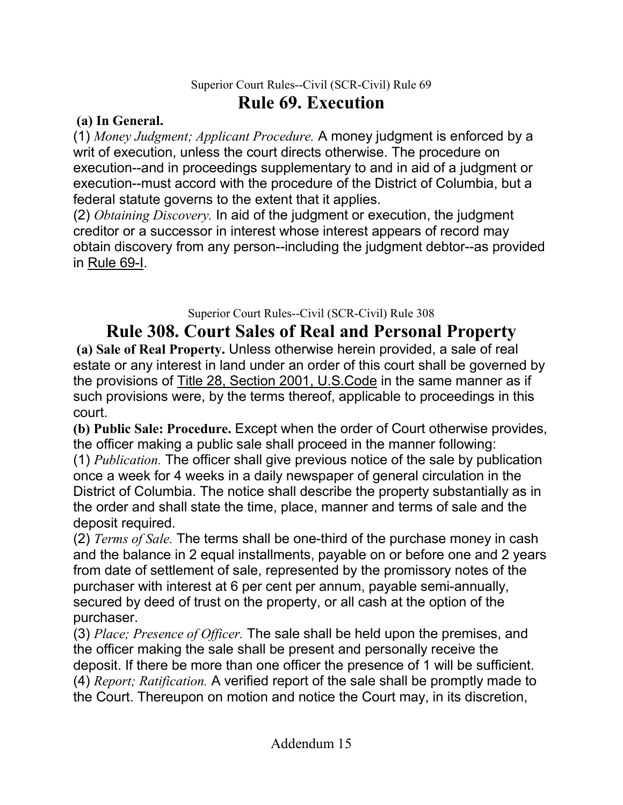### Superior Court Rules--Civil (SCR-Civil) Rule 69 **Rule 69. Execution**

### **(a) In General.**

(1) *Money Judgment; Applicant Procedure.* A money judgment is enforced by a writ of execution, unless the court directs otherwise. The procedure on execution--and in proceedings supplementary to and in aid of a judgment or execution--must accord with the procedure of the District of Columbia, but a federal statute governs to the extent that it applies.

(2) *Obtaining Discovery.* In aid of the judgment or execution, the judgment creditor or a successor in interest whose interest appears of record may obtain discovery from any person--including the judgment debtor--as provided in Rule 69-I.

Superior Court Rules--Civil (SCR-Civil) Rule 308

# **Rule 308. Court Sales of Real and Personal Property**

**(a) Sale of Real Property.** Unless otherwise herein provided, a sale of real estate or any interest in land under an order of this court shall be governed by the provisions of Title 28, Section 2001, U.S.Code in the same manner as if such provisions were, by the terms thereof, applicable to proceedings in this court.

**(b) Public Sale: Procedure.** Except when the order of Court otherwise provides, the officer making a public sale shall proceed in the manner following:

(1) *Publication.* The officer shall give previous notice of the sale by publication once a week for 4 weeks in a daily newspaper of general circulation in the District of Columbia. The notice shall describe the property substantially as in the order and shall state the time, place, manner and terms of sale and the deposit required.

(2) *Terms of Sale.* The terms shall be one-third of the purchase money in cash and the balance in 2 equal installments, payable on or before one and 2 years from date of settlement of sale, represented by the promissory notes of the purchaser with interest at 6 per cent per annum, payable semi-annually, secured by deed of trust on the property, or all cash at the option of the purchaser.

(3) *Place; Presence of Officer.* The sale shall be held upon the premises, and the officer making the sale shall be present and personally receive the deposit. If there be more than one officer the presence of 1 will be sufficient. (4) *Report; Ratification.* A verified report of the sale shall be promptly made to the Court. Thereupon on motion and notice the Court may, in its discretion,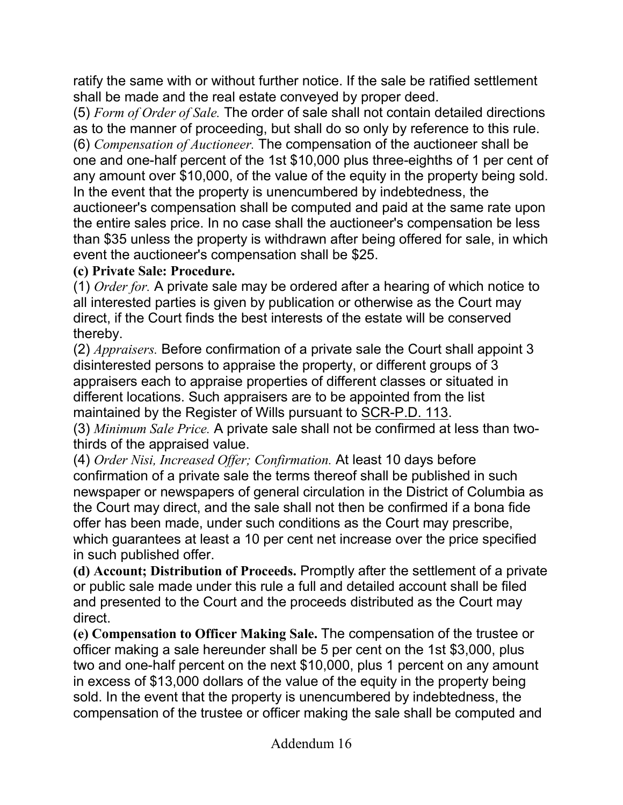ratify the same with or without further notice. If the sale be ratified settlement shall be made and the real estate conveyed by proper deed.

(5) *Form of Order of Sale.* The order of sale shall not contain detailed directions as to the manner of proceeding, but shall do so only by reference to this rule. (6) *Compensation of Auctioneer.* The compensation of the auctioneer shall be one and one-half percent of the 1st \$10,000 plus three-eighths of 1 per cent of any amount over \$10,000, of the value of the equity in the property being sold. In the event that the property is unencumbered by indebtedness, the auctioneer's compensation shall be computed and paid at the same rate upon the entire sales price. In no case shall the auctioneer's compensation be less than \$35 unless the property is withdrawn after being offered for sale, in which event the auctioneer's compensation shall be \$25.

### **(c) Private Sale: Procedure.**

(1) *Order for.* A private sale may be ordered after a hearing of which notice to all interested parties is given by publication or otherwise as the Court may direct, if the Court finds the best interests of the estate will be conserved thereby.

(2) *Appraisers.* Before confirmation of a private sale the Court shall appoint 3 disinterested persons to appraise the property, or different groups of 3 appraisers each to appraise properties of different classes or situated in different locations. Such appraisers are to be appointed from the list maintained by the Register of Wills pursuant to SCR-P.D. 113.

(3) *Minimum Sale Price.* A private sale shall not be confirmed at less than twothirds of the appraised value.

(4) *Order Nisi, Increased Offer; Confirmation.* At least 10 days before confirmation of a private sale the terms thereof shall be published in such newspaper or newspapers of general circulation in the District of Columbia as the Court may direct, and the sale shall not then be confirmed if a bona fide offer has been made, under such conditions as the Court may prescribe, which guarantees at least a 10 per cent net increase over the price specified in such published offer.

**(d) Account; Distribution of Proceeds.** Promptly after the settlement of a private or public sale made under this rule a full and detailed account shall be filed and presented to the Court and the proceeds distributed as the Court may direct.

**(e) Compensation to Officer Making Sale.** The compensation of the trustee or officer making a sale hereunder shall be 5 per cent on the 1st \$3,000, plus two and one-half percent on the next \$10,000, plus 1 percent on any amount in excess of \$13,000 dollars of the value of the equity in the property being sold. In the event that the property is unencumbered by indebtedness, the compensation of the trustee or officer making the sale shall be computed and